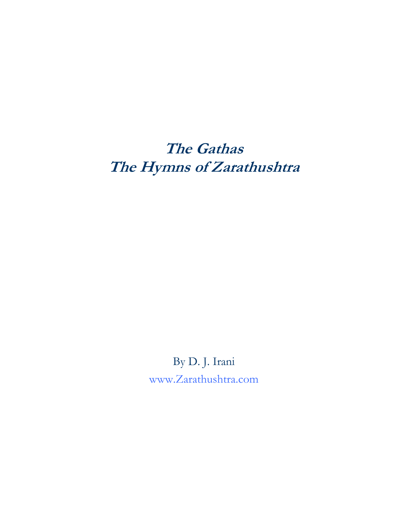# **The Gathas The Hymns of Zarathushtra**

By D. J. Irani [www.Zarathushtra.com](http://www.zarathushtra.com/)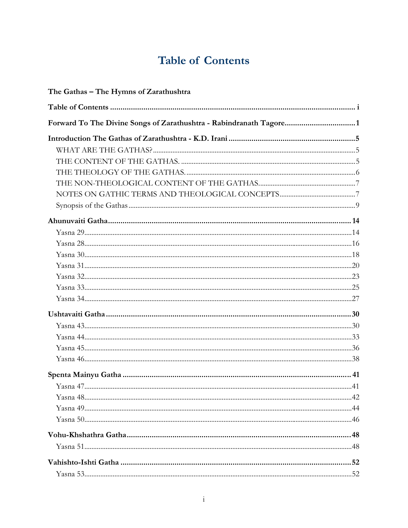# **Table of Contents**

<span id="page-1-0"></span>

| The Gathas - The Hymns of Zarathushtra                             |  |
|--------------------------------------------------------------------|--|
|                                                                    |  |
| Forward To The Divine Songs of Zarathushtra - Rabindranath Tagore1 |  |
|                                                                    |  |
|                                                                    |  |
|                                                                    |  |
|                                                                    |  |
|                                                                    |  |
|                                                                    |  |
|                                                                    |  |
|                                                                    |  |
|                                                                    |  |
|                                                                    |  |
|                                                                    |  |
|                                                                    |  |
|                                                                    |  |
|                                                                    |  |
|                                                                    |  |
|                                                                    |  |
|                                                                    |  |
|                                                                    |  |
|                                                                    |  |
|                                                                    |  |
|                                                                    |  |
|                                                                    |  |
|                                                                    |  |
|                                                                    |  |
|                                                                    |  |
|                                                                    |  |
|                                                                    |  |
|                                                                    |  |
|                                                                    |  |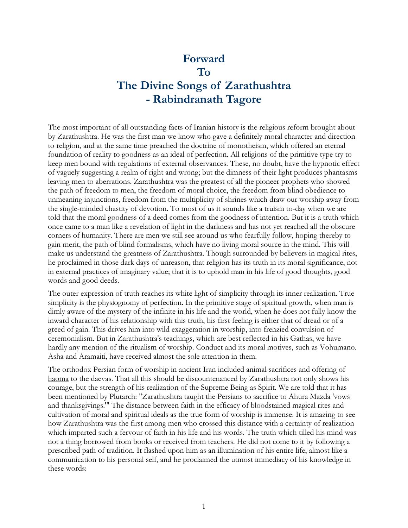# <span id="page-2-0"></span>**Forward To The Divine Songs of Zarathushtra - Rabindranath Tagore**

The most important of all outstanding facts of Iranian history is the religious reform brought about by Zarathushtra. He was the first man we know who gave a definitely moral character and direction to religion, and at the same time preached the doctrine of monotheism, which offered an eternal foundation of reality to goodness as an ideal of perfection. All religions of the primitive type try to keep men bound with regulations of external observances. These, no doubt, have the hypnotic effect of vaguely suggesting a realm of right and wrong; but the dimness of their light produces phantasms leaving men to aberrations. Zarathushtra was the greatest of all the pioneer prophets who showed the path of freedom to men, the freedom of moral choice, the freedom from blind obedience to unmeaning injunctions, freedom from the multiplicity of shrines which draw our worship away from the single-minded chastity of devotion. To most of us it sounds like a truism to-day when we are told that the moral goodness of a deed comes from the goodness of intention. But it is a truth which once came to a man like a revelation of light in the darkness and has not yet reached all the obscure corners of humanity. There are men we still see around us who fearfully follow, hoping thereby to gain merit, the path of blind formalisms, which have no living moral source in the mind. This will make us understand the greatness of Zarathushtra. Though surrounded by believers in magical rites, he proclaimed in those dark days of unreason, that religion has its truth in its moral significance, not in external practices of imaginary value; that it is to uphold man in his life of good thoughts, good words and good deeds.

The outer expression of truth reaches its white light of simplicity through its inner realization. True simplicity is the physiognomy of perfection. In the primitive stage of spiritual growth, when man is dimly aware of the mystery of the infinite in his life and the world, when he does not fully know the inward character of his relationship with this truth, his first feeling is either that of dread or of a greed of gain. This drives him into wild exaggeration in worship, into frenzied convulsion of ceremonialism. But in Zarathushtra's teachings, which are best reflected in his Gathas, we have hardly any mention of the ritualism of worship. Conduct and its moral motives, such as Vohumano. Asha and Aramaiti, have received almost the sole attention in them.

The orthodox Persian form of worship in ancient Iran included animal sacrifices and offering of haoma to the daevas. That all this should be discountenanced by Zarathushtra not only shows his courage, but the strength of his realization of the Supreme Being as Spirit. We are told that it has been mentioned by Plutarch: "Zarathushtra taught the Persians to sacrifice to Ahura Mazda 'vows and thanksgivings.'" The distance between faith in the efficacy of bloodstained magical rites and cultivation of moral and spiritual ideals as the true form of worship is immense. It is amazing to see how Zarathushtra was the first among men who crossed this distance with a certainty of realization which imparted such a fervour of faith in his life and his words. The truth which tilled his mind was not a thing borrowed from books or received from teachers. He did not come to it by following a prescribed path of tradition. It flashed upon him as an illumination of his entire life, almost like a communication to his personal self, and he proclaimed the utmost immediacy of his knowledge in these words: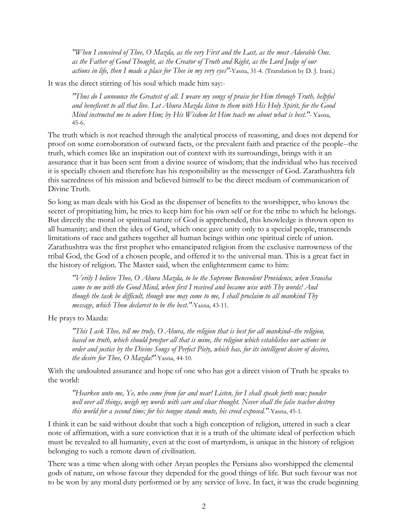*"When I conceived of Thee, O Mazda, as the very First and the Last, as the most Adorable One. as the Father of Good Thought, as the Creator of Truth and Right, as the Lord Judge of our actions in life, then I made a place for Thee in my very eyes"-*Yasna, 31-4. (Translation by D. J. Irani.)

It was the direct stirring of his soul which made him say:-

*"Thus do I announce the Greatest of all. I weave my songs of praise for Him through Truth, helpful and beneficent to all that live. Let Ahura Mazda listen to them with His Holy Spirit, for the Good Mind instructed me to adore Him; by His Wisdom let Him teach me about what is best."*- Yasna, 45-6.

The truth which is not reached through the analytical process of reasoning, and does not depend for proof on some corroboration of outward facts, or the prevalent faith and practice of the people--the truth, which comes like an inspiration out of context with its surroundings, brings with it an assurance that it has been sent from a divine source of wisdom; that the individual who has received it is specially chosen and therefore has his responsibility as the messenger of God. Zarathushtra felt this sacredness of his mission and believed himself to be the direct medium of communication of Divine Truth.

So long as man deals with his God as the dispenser of benefits to the worshipper, who knows the secret of propitiating him, he tries to keep him for his own self or for the tribe to which he belongs. But directly the moral or spiritual nature of God is apprehended, this knowledge is thrown open to all humanity; and then the idea of God, which once gave unity only to a special people, transcends limitations of race and gathers together all human beings within one spiritual circle of union. Zarathushtra was the first prophet who emancipated religion from the exclusive narrowness of the tribal God, the God of a chosen people, and offered it to the universal man. This is a great fact in the history of religion. The Master said, when the enlightenment came to him:

*"Verily I believe Thee, O Ahura Mazda, to be the Supreme Benevolent Providence, when Sraosha came to me with the Good Mind, when first I received and became wise with Thy words! And though the task be difficult, though woe may come to me, I shall proclaim to all mankind Thy message, which Thou declarest to be the best."*-Yasna, 43-11.

He prays to Mazda:

*"This I ask Thee, tell me truly, O Ahura, the religion that is best for all mankind--the religion, based on truth, which should prosper all that is mine, the religion which establishes our actions in order and justice by the Divine Songs of Perfect Piety, which has, for its intelligent desire of desires, the desire for Thee, O Mazda!"*-Yasna, 44-10.

With the undoubted assurance and hope of one who has got a direct vision of Truth he speaks to the world:

*"Hearken unto me, Ye, who come from far and near! Listen, for I shall speak forth now; ponder well over all things, weigh my words with care and clear thought. Never shall the false teacher destroy this world for a second time; for his tongue stands mute, his creed exposed."*-Yasna, 45-1.

I think it can be said without doubt that such a high conception of religion, uttered in such a clear note of affirmation, with a sure conviction that it is a truth of the ultimate ideal of perfection which must be revealed to all humanity, even at the cost of martyrdom, is unique in the history of religion belonging to such a remote dawn of civilisation.

There was a time when along with other Aryan peoples the Persians also worshipped the elemental gods of nature, on whose favour they depended for the good things of life. But such favour was not to be won by any moral duty performed or by any service of love. In fact, it was the crude beginning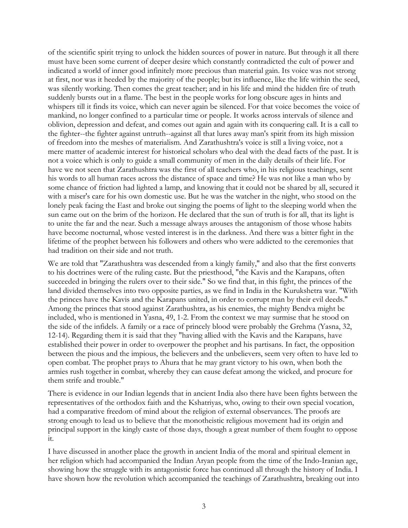of the scientific spirit trying to unlock the hidden sources of power in nature. But through it all there must have been some current of deeper desire which constantly contradicted the cult of power and indicated a world of inner good infinitely more precious than material gain. Its voice was not strong at first, nor was it heeded by the majority of the people; but its influence, like the life within the seed, was silently working. Then comes the great teacher; and in his life and mind the hidden fire of truth suddenly bursts out in a flame. The best in the people works for long obscure ages in hints and whispers till it finds its voice, which can never again be silenced. For that voice becomes the voice of mankind, no longer confined to a particular time or people. It works across intervals of silence and oblivion, depression and defeat, and comes out again and again with its conquering call. It is a call to the fighter--the fighter against untruth--against all that lures away man's spirit from its high mission of freedom into the meshes of materialism. And Zarathushtra's voice is still a living voice, not a mere matter of academic interest for historical scholars who deal with the dead facts of the past. It is not a voice which is only to guide a small community of men in the daily details of their life. For have we not seen that Zarathushtra was the first of all teachers who, in his religious teachings, sent his words to all human races across the distance of space and time? He was not like a man who by some chance of friction had lighted a lamp, and knowing that it could not be shared by all, secured it with a miser's care for his own domestic use. But he was the watcher in the night, who stood on the lonely peak facing the East and broke out singing the poems of light to the sleeping world when the sun came out on the brim of the horizon. He declared that the sun of truth is for all, that its light is to unite the far and the near. Such a message always arouses the antagonism of those whose habits have become nocturnal, whose vested interest is in the darkness. And there was a bitter fight in the lifetime of the prophet between his followers and others who were addicted to the ceremonies that had tradition on their side and not truth.

We are told that "Zarathushtra was descended from a kingly family," and also that the first converts to his doctrines were of the ruling caste. But the priesthood, "the Kavis and the Karapans, often succeeded in bringing the rulers over to their side." So we find that, in this fight, the princes of the land divided themselves into two opposite parties, as we find in India in the Kurukshetra war. "With the princes have the Kavis and the Karapans united, in order to corrupt man by their evil deeds." Among the princes that stood against Zarathushtra, as his enemies, the mighty Bendva might be included, who is mentioned in Yasna, 49, 1-2. From the context we may surmise that he stood on the side of the infidels. A family or a race of princely blood were probably the Grehma (Yasna, 32, 12-14). Regarding them it is said that they "having allied with the Kavis and the Karapans, have established their power in order to overpower the prophet and his partisans. In fact, the opposition between the pious and the impious, the believers and the unbelievers, seem very often to have led to open combat. The prophet prays to Ahura that he may grant victory to his own, when both the armies rush together in combat, whereby they can cause defeat among the wicked, and procure for them strife and trouble."

There is evidence in our Indian legends that in ancient India also there have been fights between the representatives of the orthodox faith and the Kshatriyas, who, owing to their own special vocation, had a comparative freedom of mind about the religion of external observances. The proofs are strong enough to lead us to believe that the monotheistic religious movement had its origin and principal support in the kingly caste of those days, though a great number of them fought to oppose it.

I have discussed in another place the growth in ancient India of the moral and spiritual element in her religion which had accompanied the Indian Aryan people from the time of the Indo-Iranian age, showing how the struggle with its antagonistic force has continued all through the history of India. I have shown how the revolution which accompanied the teachings of Zarathushtra, breaking out into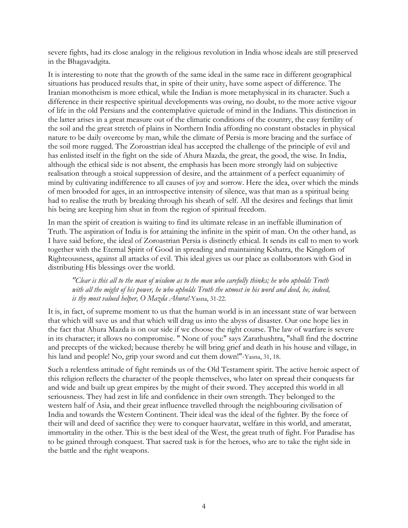severe fights, had its close analogy in the religious revolution in India whose ideals are still preserved in the Bhagavadgita.

It is interesting to note that the growth of the same ideal in the same race in different geographical situations has produced results that, in spite of their unity, have some aspect of difference. The Iranian monotheism is more ethical, while the Indian is more metaphysical in its character. Such a difference in their respective spiritual developments was owing, no doubt, to the more active vigour of life in the old Persians and the contemplative quietude of mind in the Indians. This distinction in the latter arises in a great measure out of the climatic conditions of the country, the easy fertility of the soil and the great stretch of plains in Northern India affording no constant obstacles in physical nature to be daily overcome by man, while the climate of Persia is more bracing and the surface of the soil more rugged. The Zoroastrian ideal has accepted the challenge of the principle of evil and has enlisted itself in the fight on the side of Ahura Mazda, the great, the good, the wise. In India, although the ethical side is not absent, the emphasis has been more strongly laid on subjective realisation through a stoical suppression of desire, and the attainment of a perfect equanimity of mind by cultivating indifference to all causes of joy and sorrow. Here the idea, over which the minds of men brooded for ages, in an introspective intensity of silence, was that man as a spiritual being had to realise the truth by breaking through his sheath of self. All the desires and feelings that limit his being are keeping him shut in from the region of spiritual freedom.

In man the spirit of creation is waiting to find its ultimate release in an ineffable illumination of Truth. The aspiration of India is for attaining the infinite in the spirit of man. On the other hand, as I have said before, the ideal of Zoroastrian Persia is distinctly ethical. It sends its call to men to work together with the Eternal Spirit of Good in spreading and maintaining Kshatra, the Kingdom of Righteousness, against all attacks of evil. This ideal gives us our place as collaborators with God in distributing His blessings over the world.

*"Clear is this all to the man of wisdom as to the man who carefully thinks; he who upholds Truth*  with all the might of his power, he who upholds Truth the utmost in his word and deed, he, indeed, *is thy most valued helper, O Mazda Ahura!*-Yasna, 31-22.

It is, in fact, of supreme moment to us that the human world is in an incessant state of war between that which will save us and that which will drag us into the abyss of disaster. Our one hope lies in the fact that Ahura Mazda is on our side if we choose the right course. The law of warfare is severe in its character; it allows no compromise. " None of you:" says Zarathushtra, "shall find the doctrine and precepts of the wicked; because thereby he will bring grief and death in his house and village, in his land and people! No, grip your sword and cut them down!"-Yasna, 31, 18.

Such a relentless attitude of fight reminds us of the Old Testament spirit. The active heroic aspect of this religion reflects the character of the people themselves, who later on spread their conquests far and wide and built up great empires by the might of their sword. They accepted this world in all seriousness. They had zest in life and confidence in their own strength. They belonged to the western half of Asia, and their great influence travelled through the neighbouring civilisation of India and towards the Western Continent. Their ideal was the ideal of the fighter. By the force of their will and deed of sacrifice they were to conquer haurvatat, welfare in this world, and ameratat, immortality in the other. This is the best ideal of the West, the great truth of fight. For Paradise has to be gained through conquest. That sacred task is for the heroes, who are to take the right side in the battle and the right weapons.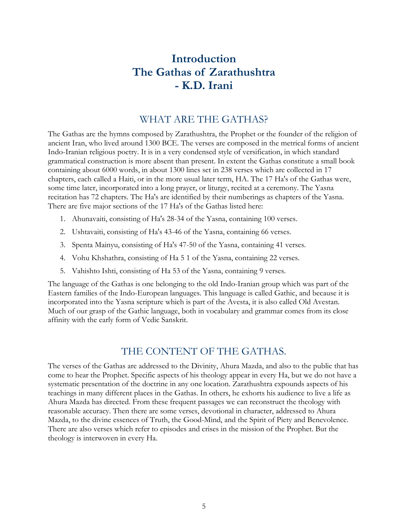## **Introduction The Gathas of Zarathushtra - K.D. Irani**

#### WHAT ARE THE GATHAS?

<span id="page-6-0"></span>The Gathas are the hymns composed by Zarathushtra, the Prophet or the founder of the religion of ancient Iran, who lived around 1300 BCE. The verses are composed in the metrical forms of ancient Indo-Iranian religious poetry. It is in a very condensed style of versification, in which standard grammatical construction is more absent than present. In extent the Gathas constitute a small book containing about 6000 words, in about 1300 lines set in 238 verses which are collected in 17 chapters, each called a Haiti, or in the more usual later term, HA. The 17 Ha's of the Gathas were, some time later, incorporated into a long prayer, or liturgy, recited at a ceremony. The Yasna recitation has 72 chapters. The Ha's are identified by their numberings as chapters of the Yasna. There are five major sections of the 17 Ha's of the Gathas listed here:

- 1. Ahunavaiti, consisting of Ha's 28-34 of the Yasna, containing 100 verses.
- 2. Ushtavaiti, consisting of Ha's 43-46 of the Yasna, containing 66 verses.
- 3. Spenta Mainyu, consisting of Ha's 47-50 of the Yasna, containing 41 verses.
- 4. Vohu Khshathra, consisting of Ha 5 1 of the Yasna, containing 22 verses.
- 5. Vahishto Ishti, consisting of Ha 53 of the Yasna, containing 9 verses.

The language of the Gathas is one belonging to the old Indo-Iranian group which was part of the Eastern families of the Indo-European languages. This language is called Gathic, and because it is incorporated into the Yasna scripture which is part of the Avesta, it is also called Old Avestan. Much of our grasp of the Gathic language, both in vocabulary and grammar comes from its close affinity with the early form of Vedic Sanskrit.

#### THE CONTENT OF THE GATHAS.

The verses of the Gathas are addressed to the Divinity, Ahura Mazda, and also to the public that has come to hear the Prophet. Specific aspects of his theology appear in every Ha, but we do not have a systematic presentation of the doctrine in any one location. Zarathushtra expounds aspects of his teachings in many different places in the Gathas. In others, he exhorts his audience to live a life as Ahura Mazda has directed. From these frequent passages we can reconstruct the theology with reasonable accuracy. Then there are some verses, devotional in character, addressed to Ahura Mazda, to the divine essences of Truth, the Good-Mind, and the Spirit of Piety and Benevolence. There are also verses which refer to episodes and crises in the mission of the Prophet. But the theology is interwoven in every Ha.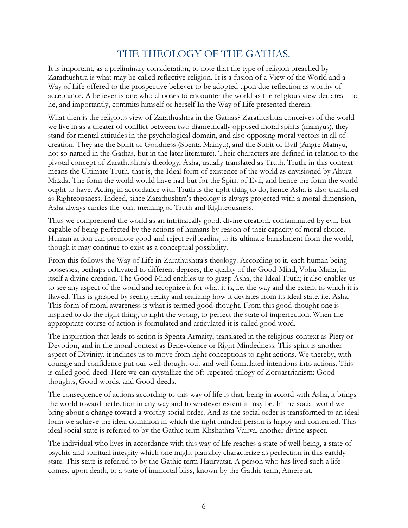## THE THEOLOGY OF THE GATHAS.

<span id="page-7-0"></span>It is important, as a preliminary consideration, to note that the type of religion preached by Zarathushtra is what may be called reflective religion. It is a fusion of a View of the World and a Way of Life offered to the prospective believer to be adopted upon due reflection as worthy of acceptance. A believer is one who chooses to encounter the world as the religious view declares it to he, and importantly, commits himself or herself In the Way of Life presented therein.

What then is the religious view of Zarathushtra in the Gathas? Zarathushtra conceives of the world we live in as a theater of conflict between two diametrically opposed moral spirits (mainyus), they stand for mental attitudes in the psychological domain, and also opposing moral vectors in all of creation. They are the Spirit of Goodness (Spenta Mainyu), and the Spirit of Evil (Angre Mainyu, not so named in the Gathas, but in the later literature). Their characters are defined in relation to the pivotal concept of Zarathushtra's theology, Asha, usually translated as Truth. Truth, in this context means the Ultimate Truth, that is, the Ideal form of existence of the world as envisioned by Ahura Mazda. The form the world would have had but for the Spirit of Evil, and hence the form the world ought to have. Acting in accordance with Truth is the right thing to do, hence Asha is also translated as Righteousness. Indeed, since Zarathushtra's theology is always projected with a moral dimension, Asha always carries the joint meaning of Truth and Righteousness.

Thus we comprehend the world as an intrinsically good, divine creation, contaminated by evil, but capable of being perfected by the actions of humans by reason of their capacity of moral choice. Human action can promote good and reject evil leading to its ultimate banishment from the world, though it may continue to exist as a conceptual possibility.

From this follows the Way of Life in Zarathushtra's theology. According to it, each human being possesses, perhaps cultivated to different degrees, the quality of the Good-Mind, Vohu-Mana, in itself a divine creation. The Good-Mind enables us to grasp Asha, the Ideal Truth; it also enables us to see any aspect of the world and recognize it for what it is, i.e. the way and the extent to which it is flawed. This is grasped by seeing reality and realizing how it deviates from its ideal state, i.e. Asha. This form of moral awareness is what is termed good-thought. From this good-thought one is inspired to do the right thing, to right the wrong, to perfect the state of imperfection. When the appropriate course of action is formulated and articulated it is called good word.

The inspiration that leads to action is Spenta Armaity, translated in the religious context as Piety or Devotion, and in the moral context as Benevolence or Right-Mindedness. This spirit is another aspect of Divinity, it inclines us to move from right conceptions to right actions. We thereby, with courage and confidence put our well-thought-out and well-formulated intentions into actions. This is called good-deed. Here we can crystallize the oft-repeated trilogy of Zoroastrianism: Goodthoughts, Good-words, and Good-deeds.

The consequence of actions according to this way of life is that, being in accord with Asha, it brings the world toward perfection in any way and to whatever extent it may be. In the social world we bring about a change toward a worthy social order. And as the social order is transformed to an ideal form we achieve the ideal dominion in which the right-minded person is happy and contented. This ideal social state is referred to by the Gathic term Khshathra Vairya, another divine aspect.

The individual who lives in accordance with this way of life reaches a state of well-being, a state of psychic and spiritual integrity which one might plausibly characterize as perfection in this earthly state. This state is referred to by the Gathic term Haurvatat. A person who has lived such a life comes, upon death, to a state of immortal bliss, known by the Gathic term, Ameretat.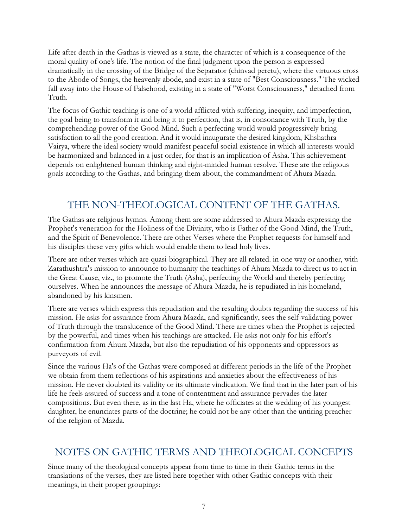<span id="page-8-0"></span>Life after death in the Gathas is viewed as a state, the character of which is a consequence of the moral quality of one's life. The notion of the final judgment upon the person is expressed dramatically in the crossing of the Bridge of the Separator (chinvad peretu), where the virtuous cross to the Abode of Songs, the heavenly abode, and exist in a state of "Best Consciousness." The wicked fall away into the House of Falsehood, existing in a state of "Worst Consciousness," detached from Truth.

The focus of Gathic teaching is one of a world afflicted with suffering, inequity, and imperfection, the goal being to transform it and bring it to perfection, that is, in consonance with Truth, by the comprehending power of the Good-Mind. Such a perfecting world would progressively bring satisfaction to all the good creation. And it would inaugurate the desired kingdom, Khshathra Vairya, where the ideal society would manifest peaceful social existence in which all interests would be harmonized and balanced in a just order, for that is an implication of Asha. This achievement depends on enlightened human thinking and right-minded human resolve. These are the religious goals according to the Gathas, and bringing them about, the commandment of Ahura Mazda.

## THE NON-THEOLOGICAL CONTENT OF THE GATHAS.

The Gathas are religious hymns. Among them are some addressed to Ahura Mazda expressing the Prophet's veneration for the Holiness of the Divinity, who is Father of the Good-Mind, the Truth, and the Spirit of Benevolence. There are other Verses where the Prophet requests for himself and his disciples these very gifts which would enable them to lead holy lives.

There are other verses which are quasi-biographical. They are all related. in one way or another, with Zarathushtra's mission to announce to humanity the teachings of Ahura Mazda to direct us to act in the Great Cause, viz., to promote the Truth (Asha), perfecting the World and thereby perfecting ourselves. When he announces the message of Ahura-Mazda, he is repudiated in his homeland, abandoned by his kinsmen.

There are verses which express this repudiation and the resulting doubts regarding the success of his mission. He asks for assurance from Ahura Mazda, and significantly, sees the self-validating power of Truth through the translucence of the Good Mind. There are times when the Prophet is rejected by the powerful, and times when his teachings are attacked. He asks not only for his effort's confirmation from Ahura Mazda, but also the repudiation of his opponents and oppressors as purveyors of evil.

Since the various Ha's of the Gathas were composed at different periods in the life of the Prophet we obtain from them reflections of his aspirations and anxieties about the effectiveness of his mission. He never doubted its validity or its ultimate vindication. We find that in the later part of his life he feels assured of success and a tone of contentment and assurance pervades the later compositions. But even there, as in the last Ha, where he officiates at the wedding of his youngest daughter, he enunciates parts of the doctrine; he could not be any other than the untiring preacher of the religion of Mazda.

### NOTES ON GATHIC TERMS AND THEOLOGICAL CONCEPTS

Since many of the theological concepts appear from time to time in their Gathic terms in the translations of the verses, they are listed here together with other Gathic concepts with their meanings, in their proper groupings: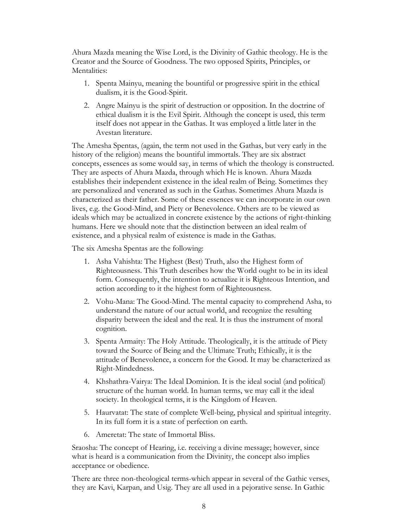Ahura Mazda meaning the Wise Lord, is the Divinity of Gathic theology. He is the Creator and the Source of Goodness. The two opposed Spirits, Principles, or Mentalities:

- 1. Spenta Mainyu, meaning the bountiful or progressive spirit in the ethical dualism, it is the Good-Spirit.
- 2. Angre Mainyu is the spirit of destruction or opposition. In the doctrine of ethical dualism it is the Evil Spirit. Although the concept is used, this term itself does not appear in the Gathas. It was employed a little later in the Avestan literature.

The Amesha Spentas, (again, the term not used in the Gathas, but very early in the history of the religion) means the bountiful immortals. They are six abstract concepts, essences as some would say, in terms of which the theology is constructed. They are aspects of Ahura Mazda, through which He is known. Ahura Mazda establishes their independent existence in the ideal realm of Being. Sometimes they are personalized and venerated as such in the Gathas. Sometimes Ahura Mazda is characterized as their father. Some of these essences we can incorporate in our own lives, e.g. the Good-Mind, and Piety or Benevolence. Others are to be viewed as ideals which may be actualized in concrete existence by the actions of right-thinking humans. Here we should note that the distinction between an ideal realm of existence, and a physical realm of existence is made in the Gathas.

The six Amesha Spentas are the following:

- 1. Asha Vahishta: The Highest (Best) Truth, also the Highest form of Righteousness. This Truth describes how the World ought to be in its ideal form. Consequently, the intention to actualize it is Righteous Intention, and action according to it the highest form of Righteousness.
- 2. Vohu-Mana: The Good-Mind. The mental capacity to comprehend Asha, to understand the nature of our actual world, and recognize the resulting disparity between the ideal and the real. It is thus the instrument of moral cognition.
- 3. Spenta Armaity: The Holy Attitude. Theologically, it is the attitude of Piety toward the Source of Being and the Ultimate Truth; Ethically, it is the attitude of Benevolence, a concern for the Good. It may be characterized as Right-Mindedness.
- 4. Khshathra-Vairya: The Ideal Dominion. It is the ideal social (and political) structure of the human world. In human terms, we may call it the ideal society. In theological terms, it is the Kingdom of Heaven.
- 5. Haurvatat: The state of complete Well-being, physical and spiritual integrity. In its full form it is a state of perfection on earth.
- 6. Ameretat: The state of Immortal Bliss.

Sraosha: The concept of Hearing, i.e. receiving a divine message; however, since what is heard is a communication from the Divinity, the concept also implies acceptance or obedience.

There are three non-theological terms-which appear in several of the Gathic verses, they are Kavi, Karpan, and Usig. They are all used in a pejorative sense. In Gathic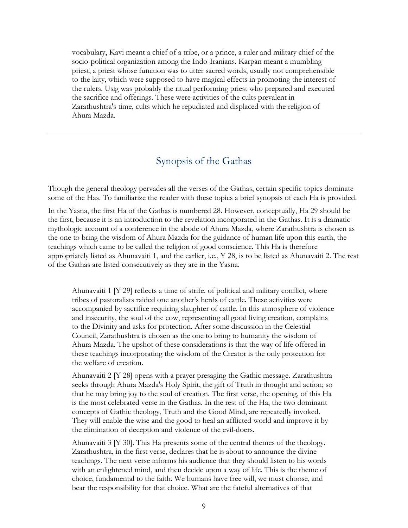<span id="page-10-0"></span>vocabulary, Kavi meant a chief of a tribe, or a prince, a ruler and military chief of the socio-political organization among the Indo-Iranians. Karpan meant a mumbling priest, a priest whose function was to utter sacred words, usually not comprehensible to the laity, which were supposed to have magical effects in promoting the interest of the rulers. Usig was probably the ritual performing priest who prepared and executed the sacrifice and offerings. These were activities of the cults prevalent in Zarathushtra's time, cults which he repudiated and displaced with the religion of Ahura Mazda.

#### Synopsis of the Gathas

Though the general theology pervades all the verses of the Gathas, certain specific topics dominate some of the Has. To familiarize the reader with these topics a brief synopsis of each Ha is provided.

In the Yasna, the first Ha of the Gathas is numbered 28. However, conceptually, Ha 29 should be the first, because it is an introduction to the revelation incorporated in the Gathas. It is a dramatic mythologic account of a conference in the abode of Ahura Mazda, where Zarathushtra is chosen as the one to bring the wisdom of Ahura Mazda for the guidance of human life upon this earth, the teachings which came to be called the religion of good conscience. This Ha is therefore appropriately listed as Ahunavaiti 1, and the earlier, i.e., Y 28, is to be listed as Ahunavaiti 2. The rest of the Gathas are listed consecutively as they are in the Yasna.

Ahunavaiti 1  $[Y 29]$  reflects a time of strife. of political and military conflict, where tribes of pastoralists raided one another's herds of cattle. These activities were accompanied by sacrifice requiring slaughter of cattle. In this atmosphere of violence and insecurity, the soul of the cow, representing all good living creation, complains to the Divinity and asks for protection. After some discussion in the Celestial Council, Zarathushtra is chosen as the one to bring to humanity the wisdom of Ahura Mazda. The upshot of these considerations is that the way of life offered in these teachings incorporating the wisdom of the Creator is the only protection for the welfare of creation.

Ahunavaiti 2  $\lbrack$  Y 28 opens with a prayer presaging the Gathic message. Zarathushtra seeks through Ahura Mazda's Holy Spirit, the gift of Truth in thought and action; so that he may bring joy to the soul of creation. The first verse, the opening, of this Ha is the most celebrated verse in the Gathas. In the rest of the Ha, the two dominant concepts of Gathic theology, Truth and the Good Mind, are repeatedly invoked. They will enable the wise and the good to heal an afflicted world and improve it by the elimination of deception and violence of the evil-doers.

Ahunavaiti 3  $[Y 30]$ . This Ha presents some of the central themes of the theology. Zarathushtra, in the first verse, declares that he is about to announce the divine teachings. The next verse informs his audience that they should listen to his words with an enlightened mind, and then decide upon a way of life. This is the theme of choice, fundamental to the faith. We humans have free will, we must choose, and bear the responsibility for that choice. What are the fateful alternatives of that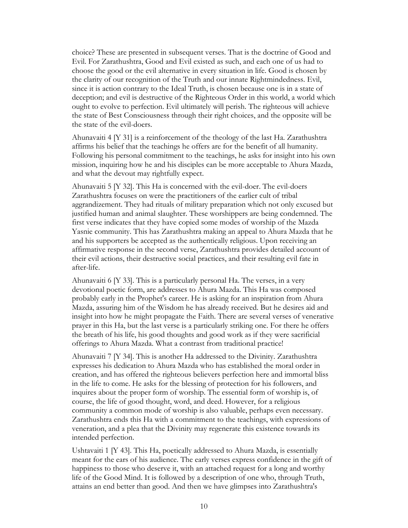choice? These are presented in subsequent verses. That is the doctrine of Good and Evil. For Zarathushtra, Good and Evil existed as such, and each one of us had to choose the good or the evil alternative in every situation in life. Good is chosen by the clarity of our recognition of the Truth and our innate Rightmindedness. Evil, since it is action contrary to the Ideal Truth, is chosen because one is in a state of deception; and evil is destructive of the Righteous Order in this world, a world which ought to evolve to perfection. Evil ultimately will perish. The righteous will achieve the state of Best Consciousness through their right choices, and the opposite will be the state of the evil-doers.

Ahunavaiti 4  $[Y 31]$  is a reinforcement of the theology of the last Ha. Zarathushtra affirms his belief that the teachings he offers are for the benefit of all humanity. Following his personal commitment to the teachings, he asks for insight into his own mission, inquiring how he and his disciples can be more acceptable to Ahura Mazda, and what the devout may rightfully expect.

Ahunavaiti 5 [Y 32]. This Ha is concerned with the evil-doer. The evil-doers Zarathushtra focuses on were the practitioners of the earlier cult of tribal aggrandizement. They had rituals of military preparation which not only excused but justified human and animal slaughter. These worshippers are being condemned. The first verse indicates that they have copied some modes of worship of the Mazda Yasnie community. This has Zarathushtra making an appeal to Ahura Mazda that he and his supporters be accepted as the authentically religious. Upon receiving an affirmative response in the second verse, Zarathushtra provides detailed account of their evil actions, their destructive social practices, and their resulting evil fate in after-life.

Ahunavaiti 6  $[Y 33]$ . This is a particularly personal Ha. The verses, in a very devotional poetic form, are addresses to Ahura Mazda. This Ha was composed probably early in the Prophet's career. He is asking for an inspiration from Ahura Mazda, assuring him of the Wisdom he has already received. But he desires aid and insight into how he might propagate the Faith. There are several verses of venerative prayer in this Ha, but the last verse is a particularly striking one. For there he offers the breath of his life, his good thoughts and good work as if they were sacrificial offerings to Ahura Mazda. What a contrast from traditional practice!

Ahunavaiti 7 [Y 34]. This is another Ha addressed to the Divinity. Zarathushtra expresses his dedication to Ahura Mazda who has established the moral order in creation, and has offered the righteous believers perfection here and immortal bliss in the life to come. He asks for the blessing of protection for his followers, and inquires about the proper form of worship. The essential form of worship is, of course, the life of good thought, word, and deed. However, for a religious community a common mode of worship is also valuable, perhaps even necessary. Zarathushtra ends this Ha with a commitment to the teachings, with expressions of veneration, and a plea that the Divinity may regenerate this existence towards its intended perfection.

Ushtavaiti 1 [Y 43]. This Ha, poetically addressed to Ahura Mazda, is essentially meant for the ears of his audience. The early verses express confidence in the gift of happiness to those who deserve it, with an attached request for a long and worthy life of the Good Mind. It is followed by a description of one who, through Truth, attains an end better than good. And then we have glimpses into Zarathushtra's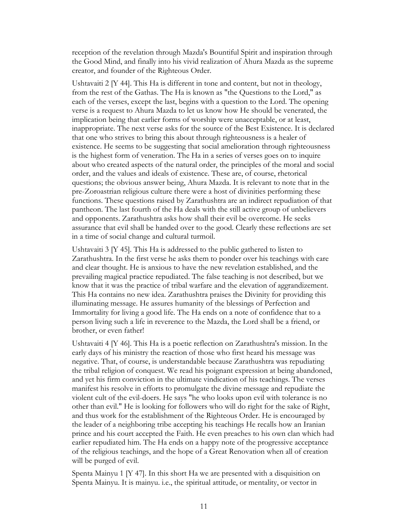reception of the revelation through Mazda's Bountiful Spirit and inspiration through the Good Mind, and finally into his vivid realization of Ahura Mazda as the supreme creator, and founder of the Righteous Order.

Ushtavaiti 2 [Y 44]. This Ha is different in tone and content, but not in theology, from the rest of the Gathas. The Ha is known as "the Questions to the Lord," as each of the verses, except the last, begins with a question to the Lord. The opening verse is a request to Ahura Mazda to let us know how He should be venerated, the implication being that earlier forms of worship were unacceptable, or at least, inappropriate. The next verse asks for the source of the Best Existence. It is declared that one who strives to bring this about through righteousness is a healer of existence. He seems to be suggesting that social amelioration through righteousness is the highest form of veneration. The Ha in a series of verses goes on to inquire about who created aspects of the natural order, the principles of the moral and social order, and the values and ideals of existence. These are, of course, rhetorical questions; the obvious answer being, Ahura Mazda. It is relevant to note that in the pre-Zoroastrian religious culture there were a host of divinities performing these functions. These questions raised by Zarathushtra are an indirect repudiation of that pantheon. The last fourth of the Ha deals with the still active group of unbelievers and opponents. Zarathushtra asks how shall their evil be overcome. He seeks assurance that evil shall be handed over to the good. Clearly these reflections are set in a time of social change and cultural turmoil.

Ushtavaiti 3 [Y 45]. This Ha is addressed to the public gathered to listen to Zarathushtra. In the first verse he asks them to ponder over his teachings with care and clear thought. He is anxious to have the new revelation established, and the prevailing magical practice repudiated. The false teaching is not described, but we know that it was the practice of tribal warfare and the elevation of aggrandizement. This Ha contains no new idea. Zarathushtra praises the Divinity for providing this illuminating message. He assures humanity of the blessings of Perfection and Immortality for living a good life. The Ha ends on a note of confidence that to a person living such a life in reverence to the Mazda, the Lord shall be a friend, or brother, or even father!

Ushtavaiti 4 [Y 46]. This Ha is a poetic reflection on Zarathushtra's mission. In the early days of his ministry the reaction of those who first heard his message was negative. That, of course, is understandable because Zarathushtra was repudiating the tribal religion of conquest. We read his poignant expression at being abandoned, and yet his firm conviction in the ultimate vindication of his teachings. The verses manifest his resolve in efforts to promulgate the divine message and repudiate the violent cult of the evil-doers. He says "he who looks upon evil with tolerance is no other than evil." He is looking for followers who will do right for the sake of Right, and thus work for the establishment of the Righteous Order. He is encouraged by the leader of a neighboring tribe accepting his teachings He recalls how an Iranian prince and his court accepted the Faith. He even preaches to his own clan which had earlier repudiated him. The Ha ends on a happy note of the progressive acceptance of the religious teachings, and the hope of a Great Renovation when all of creation will be purged of evil.

Spenta Mainyu 1 [Y 47]. In this short Ha we are presented with a disquisition on Spenta Mainyu. It is mainyu. i.e., the spiritual attitude, or mentality, or vector in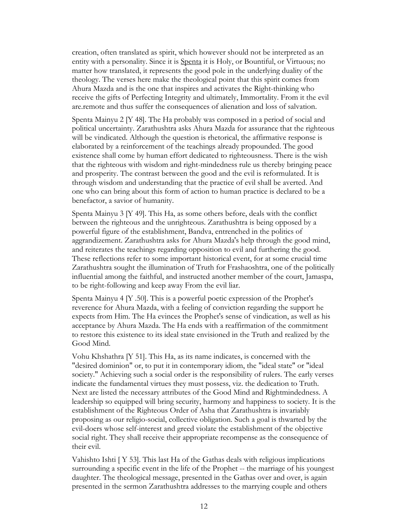creation, often translated as spirit, which however should not be interpreted as an entity with a personality. Since it is Spenta it is Holy, or Bountiful, or Virtuous; no matter how translated, it represents the good pole in the underlying duality of the theology. The verses here make the theological point that this spirit comes from Ahura Mazda and is the one that inspires and activates the Right-thinking who receive the gifts of Perfecting Integrity and ultimately, Immortality. From it the evil are.remote and thus suffer the consequences of alienation and loss of salvation.

Spenta Mainyu 2 [Y 48]. The Ha probably was composed in a period of social and political uncertainty. Zarathushtra asks Ahura Mazda for assurance that the righteous will be vindicated. Although the question is rhetorical, the affirmative response is elaborated by a reinforcement of the teachings already propounded. The good existence shall come by human effort dedicated to righteousness. There is the wish that the righteous with wisdom and right-mindedness rule us thereby bringing peace and prosperity. The contrast between the good and the evil is reformulated. It is through wisdom and understanding that the practice of evil shall be averted. And one who can bring about this form of action to human practice is declared to be a benefactor, a savior of humanity.

Spenta Mainyu 3 [Y 49]. This Ha, as some others before, deals with the conflict between the righteous and the unrighteous. Zarathushtra is being opposed by a powerful figure of the establishment, Bandva, entrenched in the politics of aggrandizement. Zarathushtra asks for Ahura Mazda's help through the good mind, and reiterates the teachings regarding opposition to evil and furthering the good. These reflections refer to some important historical event, for at some crucial time Zarathushtra sought the illumination of Truth for Frashaoshtra, one of the politically influential among the faithful, and instructed another member of the court, Jamaspa, to be right-following and keep away From the evil liar.

Spenta Mainyu 4 [Y .50]. This is a powerful poetic expression of the Prophet's reverence for Ahura Mazda, with a feeling of conviction regarding the support he expects from Him. The Ha evinces the Prophet's sense of vindication, as well as his acceptance by Ahura Mazda. The Ha ends with a reaffirmation of the commitment to restore this existence to its ideal state envisioned in the Truth and realized by the Good Mind.

Vohu Khshathra [Y 51]. This Ha, as its name indicates, is concerned with the "desired dominion" or, to put it in contemporary idiom, the "ideal state" or "ideal society." Achieving such a social order is the responsibility of rulers. The early verses indicate the fundamental virtues they must possess, viz. the dedication to Truth. Next are listed the necessary attributes of the Good Mind and Rightmindedness. A leadership so equipped will bring security, harmony and happiness to society. It is the establishment of the Righteous Order of Asha that Zarathushtra is invariably proposing as our religio-social, collective obligation. Such a goal is thwarted by the evil-doers whose self-interest and greed violate the establishment of the objective social right. They shall receive their appropriate recompense as the consequence of their evil.

Vahishto Ishti [ Y 53]. This last Ha of the Gathas deals with religious implications surrounding a specific event in the life of the Prophet -- the marriage of his youngest daughter. The theological message, presented in the Gathas over and over, is again presented in the sermon Zarathushtra addresses to the marrying couple and others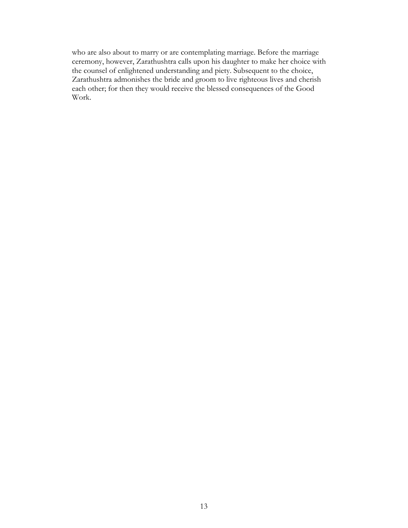who are also about to marry or are contemplating marriage. Before the marriage ceremony, however, Zarathushtra calls upon his daughter to make her choice with the counsel of enlightened understanding and piety. Subsequent to the choice, Zarathushtra admonishes the bride and groom to live righteous lives and cherish each other; for then they would receive the blessed consequences of the Good Work.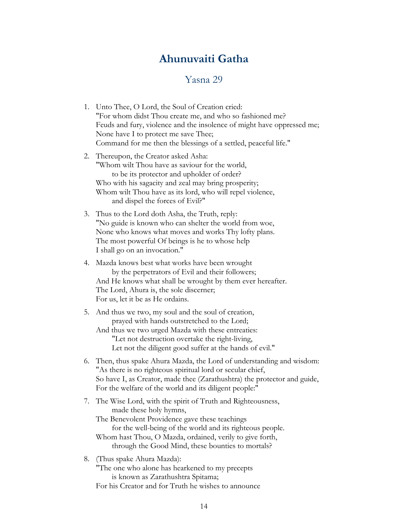## **Ahunuvaiti Gatha**

#### Yasna 29

- <span id="page-15-0"></span>1. Unto Thee, O Lord, the Soul of Creation cried: "For whom didst Thou create me, and who so fashioned me? Feuds and fury, violence and the insolence of might have oppressed me; None have I to protect me save Thee; Command for me then the blessings of a settled, peaceful life." 2. Thereupon, the Creator asked Asha: "Whom wilt Thou have as saviour for the world, to be its protector and upholder of order? Who with his sagacity and zeal may bring prosperity; Whom wilt Thou have as its lord, who will repel violence, and dispel the forces of Evil?" 3. Thus to the Lord doth Asha, the Truth, reply: "No guide is known who can shelter the world from woe, None who knows what moves and works Thy lofty plans. The most powerful Of beings is he to whose help I shall go on an invocation." 4. Mazda knows best what works have been wrought by the perpetrators of Evil and their followers; And He knows what shall be wrought by them ever hereafter. The Lord, Ahura is, the sole discerner; For us, let it be as He ordains. 5. And thus we two, my soul and the soul of creation, prayed with hands outstretched to the Lord; And thus we two urged Mazda with these entreaties: "Let not destruction overtake the right-living, Let not the diligent good suffer at the hands of evil." 6. Then, thus spake Ahura Mazda, the Lord of understanding and wisdom: "As there is no righteous spiritual lord or secular chief, So have I, as Creator, made thee (Zarathushtra) the protector and guide, For the welfare of the world and its diligent people:" 7. The Wise Lord, with the spirit of Truth and Righteousness, made these holy hymns, The Benevolent Providence gave these teachings for the well-being of the world and its righteous people. Whom hast Thou, O Mazda, ordained, verily to give forth, through the Good Mind, these bounties to mortals? 8. (Thus spake Ahura Mazda): "The one who alone has hearkened to my precepts
	- is known as Zarathushtra Spitama;

For his Creator and for Truth he wishes to announce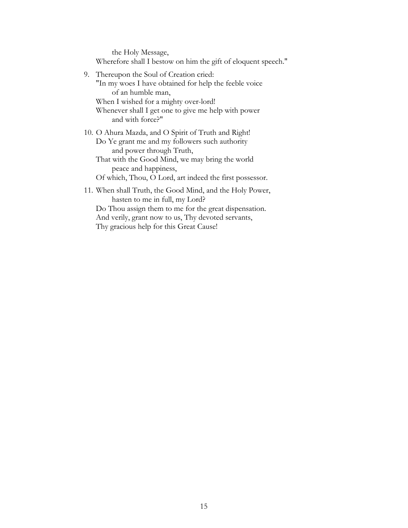the Holy Message, Wherefore shall I bestow on him the gift of eloquent speech."

- 9. Thereupon the Soul of Creation cried: "In my woes I have obtained for help the feeble voice of an humble man, When I wished for a mighty over-lord! Whenever shall I get one to give me help with power and with force?"
- 10. O Ahura Mazda, and O Spirit of Truth and Right! Do Ye grant me and my followers such authority and power through Truth,
	- That with the Good Mind, we may bring the world peace and happiness,

Of which, Thou, O Lord, art indeed the first possessor.

11. When shall Truth, the Good Mind, and the Holy Power, hasten to me in full, my Lord? Do Thou assign them to me for the great dispensation. And verily, grant now to us, Thy devoted servants,

Thy gracious help for this Great Cause!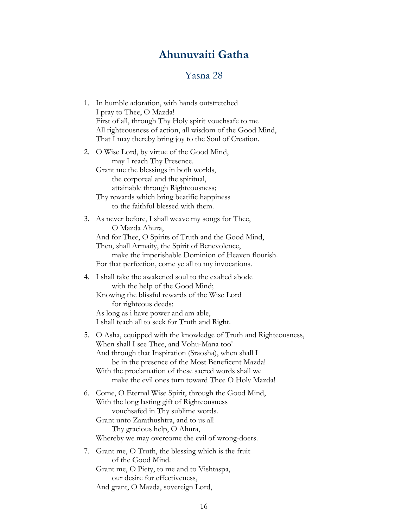## **Ahunuvaiti Gatha**

#### Yasna 28

<span id="page-17-0"></span>

| 1. In humble adoration, with hands outstretched           |
|-----------------------------------------------------------|
| I pray to Thee, O Mazda!                                  |
| First of all, through Thy Holy spirit vouchsafe to me     |
| All righteousness of action, all wisdom of the Good Mind, |
| That I may thereby bring joy to the Soul of Creation.     |
|                                                           |

- 2. O Wise Lord, by virtue of the Good Mind, may I reach Thy Presence. Grant me the blessings in both worlds, the corporeal and the spiritual, attainable through Righteousness;
	- Thy rewards which bring beatific happiness to the faithful blessed with them.

3. As never before, I shall weave my songs for Thee, O Mazda Ahura, And for Thee, O Spirits of Truth and the Good Mind, Then, shall Armaity, the Spirit of Benevolence, make the imperishable Dominion of Heaven flourish. For that perfection, come ye all to my invocations.

#### 4. I shall take the awakened soul to the exalted abode with the help of the Good Mind;

Knowing the blissful rewards of the Wise Lord for righteous deeds; As long as i have power and am able,

I shall teach all to seek for Truth and Right.

- 5. O Asha, equipped with the knowledge of Truth and Righteousness, When shall I see Thee, and Vohu-Mana too! And through that Inspiration (Sraosha), when shall I be in the presence of the Most Beneficent Mazda! With the proclamation of these sacred words shall we make the evil ones turn toward Thee O Holy Mazda!
- 6. Come, O Eternal Wise Spirit, through the Good Mind, With the long lasting gift of Righteousness vouchsafed in Thy sublime words. Grant unto Zarathushtra, and to us all Thy gracious help, O Ahura, Whereby we may overcome the evil of wrong-doers.
- 7. Grant me, O Truth, the blessing which is the fruit of the Good Mind. Grant me, O Piety, to me and to Vishtaspa, our desire for effectiveness, And grant, O Mazda, sovereign Lord,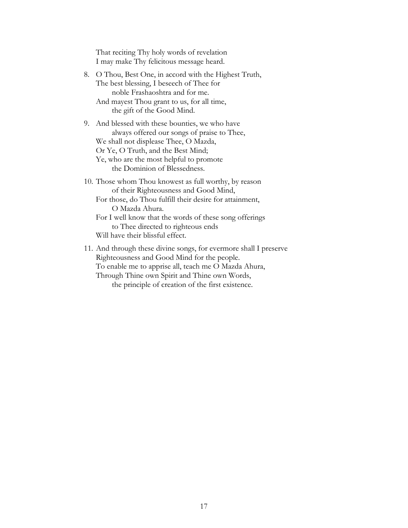That reciting Thy holy words of revelation I may make Thy felicitous message heard.

- 8. O Thou, Best One, in accord with the Highest Truth, The best blessing, I beseech of Thee for noble Frashaoshtra and for me. And mayest Thou grant to us, for all time, the gift of the Good Mind.
- 9. And blessed with these bounties, we who have always offered our songs of praise to Thee, We shall not displease Thee, O Mazda, Or Ye, O Truth, and the Best Mind; Ye, who are the most helpful to promote the Dominion of Blessedness. 10. Those whom Thou knowest as full worthy, by reason of their Righteousness and Good Mind,
	- For those, do Thou fulfill their desire for attainment, O Mazda Ahura.

For I well know that the words of these song offerings to Thee directed to righteous ends Will have their blissful effect.

11. And through these divine songs, for evermore shall I preserve Righteousness and Good Mind for the people. To enable me to apprise all, teach me O Mazda Ahura, Through Thine own Spirit and Thine own Words, the principle of creation of the first existence.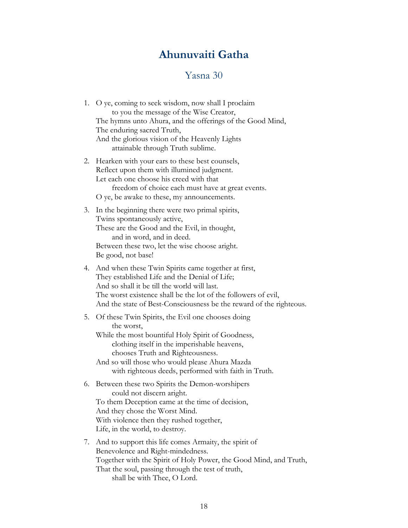## **Ahunuvaiti Gatha**

#### Yasna 30

- <span id="page-19-0"></span>1. O ye, coming to seek wisdom, now shall I proclaim to you the message of the Wise Creator, The hymns unto Ahura, and the offerings of the Good Mind, The enduring sacred Truth, And the glorious vision of the Heavenly Lights attainable through Truth sublime.
- 2. Hearken with your ears to these best counsels, Reflect upon them with illumined judgment. Let each one choose his creed with that freedom of choice each must have at great events. O ye, be awake to these, my announcements.
- 3. In the beginning there were two primal spirits, Twins spontaneously active, These are the Good and the Evil, in thought, and in word, and in deed. Between these two, let the wise choose aright. Be good, not base!
- 4. And when these Twin Spirits came together at first, They established Life and the Denial of Life; And so shall it be till the world will last. The worst existence shall be the lot of the followers of evil, And the state of Best-Consciousness be the reward of the righteous.

#### 5. Of these Twin Spirits, the Evil one chooses doing the worst, While the most bountiful Holy Spirit of Goodness,

- clothing itself in the imperishable heavens, chooses Truth and Righteousness.
- And so will those who would please Ahura Mazda with righteous deeds, performed with faith in Truth.
- 6. Between these two Spirits the Demon-worshipers could not discern aright. To them Deception came at the time of decision, And they chose the Worst Mind. With violence then they rushed together, Life, in the world, to destroy.
- 7. And to support this life comes Armaity, the spirit of Benevolence and Right-mindedness. Together with the Spirit of Holy Power, the Good Mind, and Truth, That the soul, passing through the test of truth, shall be with Thee, O Lord.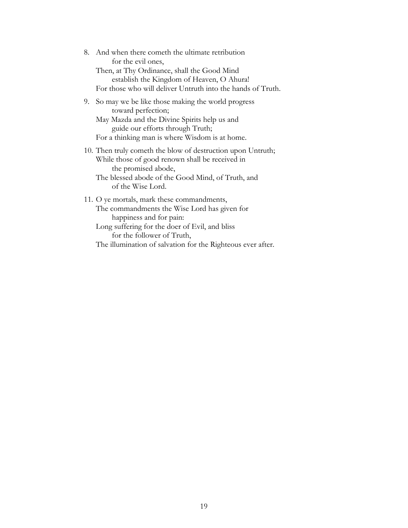8. And when there cometh the ultimate retribution for the evil ones, Then, at Thy Ordinance, shall the Good Mind establish the Kingdom of Heaven, O Ahura! For those who will deliver Untruth into the hands of Truth.

9. So may we be like those making the world progress toward perfection;

May Mazda and the Divine Spirits help us and guide our efforts through Truth; For a thinking man is where Wisdom is at home.

10. Then truly cometh the blow of destruction upon Untruth; While those of good renown shall be received in the promised abode,

The blessed abode of the Good Mind, of Truth, and of the Wise Lord.

- 11. O ye mortals, mark these commandments, The commandments the Wise Lord has given for happiness and for pain:
	- Long suffering for the doer of Evil, and bliss for the follower of Truth,

The illumination of salvation for the Righteous ever after.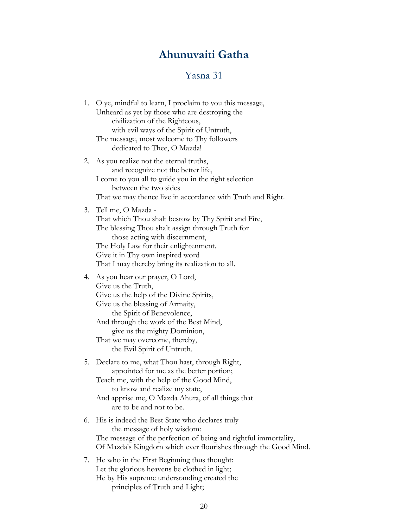# **Ahunuvaiti Gatha**

## Yasna 31

<span id="page-21-0"></span>

| 1. | O ye, mindful to learn, I proclaim to you this message,<br>Unheard as yet by those who are destroying the<br>civilization of the Righteous,<br>with evil ways of the Spirit of Untruth,<br>The message, most welcome to Thy followers<br>dedicated to Thee, O Mazda!                                             |
|----|------------------------------------------------------------------------------------------------------------------------------------------------------------------------------------------------------------------------------------------------------------------------------------------------------------------|
| 2. | As you realize not the eternal truths,<br>and recognize not the better life,<br>I come to you all to guide you in the right selection<br>between the two sides<br>That we may thence live in accordance with Truth and Right.                                                                                    |
| 3. | Tell me, O Mazda -<br>That which Thou shalt bestow by Thy Spirit and Fire,<br>The blessing Thou shalt assign through Truth for<br>those acting with discernment,<br>The Holy Law for their enlightenment.<br>Give it in Thy own inspired word<br>That I may thereby bring its realization to all.                |
|    | 4. As you hear our prayer, O Lord,<br>Give us the Truth,<br>Give us the help of the Divine Spirits,<br>Give us the blessing of Armaity,<br>the Spirit of Benevolence,<br>And through the work of the Best Mind,<br>give us the mighty Dominion,<br>That we may overcome, thereby,<br>the Evil Spirit of Untruth. |
|    | 5. Declare to me, what Thou hast, through Right,<br>appointed for me as the better portion;<br>Teach me, with the help of the Good Mind,<br>to know and realize my state,<br>And apprise me, O Mazda Ahura, of all things that<br>are to be and not to be.                                                       |
| 6. | His is indeed the Best State who declares truly<br>the message of holy wisdom:<br>The message of the perfection of being and rightful immortality,<br>Of Mazda's Kingdom which ever flourishes through the Good Mind.                                                                                            |
| 7. | He who in the First Beginning thus thought:<br>Let the glorious heavens be clothed in light;<br>He by His supreme understanding created the                                                                                                                                                                      |

principles of Truth and Light;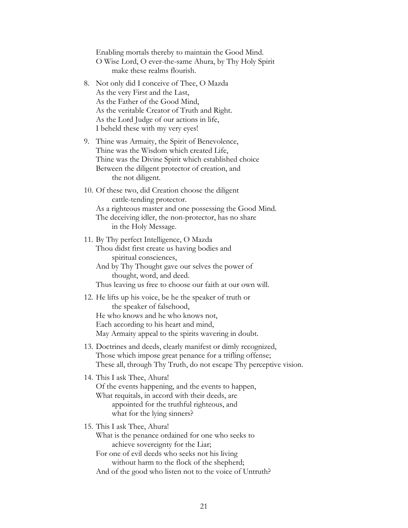Enabling mortals thereby to maintain the Good Mind. O Wise Lord, O ever-the-same Ahura, by Thy Holy Spirit make these realms flourish.

- 8. Not only did I conceive of Thee, O Mazda As the very First and the Last, As the Father of the Good Mind, As the veritable Creator of Truth and Right. As the Lord Judge of our actions in life, I beheld these with my very eyes!
- 9. Thine was Armaity, the Spirit of Benevolence, Thine was the Wisdom which created Life, Thine was the Divine Spirit which established choice Between the diligent protector of creation, and the not diligent.
- 10. Of these two, did Creation choose the diligent cattle-tending protector.

As a righteous master and one possessing the Good Mind. The deceiving idler, the non-protector, has no share in the Holy Message.

- 11. By Thy perfect Intelligence, O Mazda Thou didst first create us having bodies and spiritual consciences, And by Thy Thought gave our selves the power of thought, word, and deed. Thus leaving us free to choose our faith at our own will.
- 12. He lifts up his voice, be he the speaker of truth or the speaker of falsehood, He who knows and he who knows not, Each according to his heart and mind, May Armaity appeal to the spirits wavering in doubt.
- 13. Doctrines and deeds, clearly manifest or dimly recognized, Those which impose great penance for a trifling offense; These all, through Thy Truth, do not escape Thy perceptive vision.
- 14. This I ask Thee, Ahura! Of the events happening, and the events to happen, What requitals, in accord with their deeds, are appointed for the truthful righteous, and what for the lying sinners?
- 15. This I ask Thee, Ahura! What is the penance ordained for one who seeks to achieve sovereignty for the Liar; For one of evil deeds who seeks not his living without harm to the flock of the shepherd; And of the good who listen not to the voice of Untruth?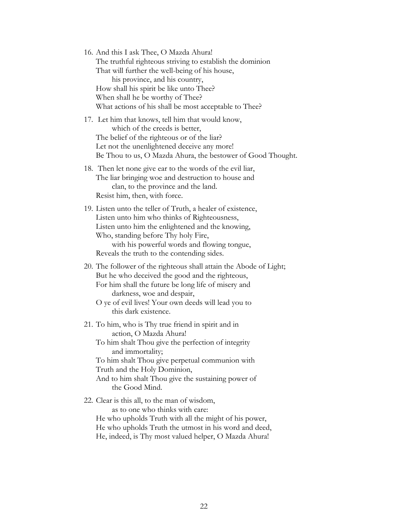16. And this I ask Thee, O Mazda Ahura! The truthful righteous striving to establish the dominion That will further the well-being of his house, his province, and his country, How shall his spirit be like unto Thee? When shall he be worthy of Thee? What actions of his shall be most acceptable to Thee?

17. Let him that knows, tell him that would know, which of the creeds is better, The belief of the righteous or of the liar? Let not the unenlightened deceive any more! Be Thou to us, O Mazda Ahura, the bestower of Good Thought.

- 18. Then let none give ear to the words of the evil liar, The liar bringing woe and destruction to house and clan, to the province and the land. Resist him, then, with force.
- 19. Listen unto the teller of Truth, a healer of existence, Listen unto him who thinks of Righteousness, Listen unto him the enlightened and the knowing, Who, standing before Thy holy Fire, with his powerful words and flowing tongue, Reveals the truth to the contending sides.
- 20. The follower of the righteous shall attain the Abode of Light; But he who deceived the good and the righteous, For him shall the future be long life of misery and darkness, woe and despair,
	- O ye of evil lives! Your own deeds will lead you to this dark existence.
- 21. To him, who is Thy true friend in spirit and in action, O Mazda Ahura!

To him shalt Thou give the perfection of integrity and immortality;

To him shalt Thou give perpetual communion with Truth and the Holy Dominion,

And to him shalt Thou give the sustaining power of the Good Mind.

22. Clear is this all, to the man of wisdom,

as to one who thinks with care:

He who upholds Truth with all the might of his power, He who upholds Truth the utmost in his word and deed, He, indeed, is Thy most valued helper, O Mazda Ahura!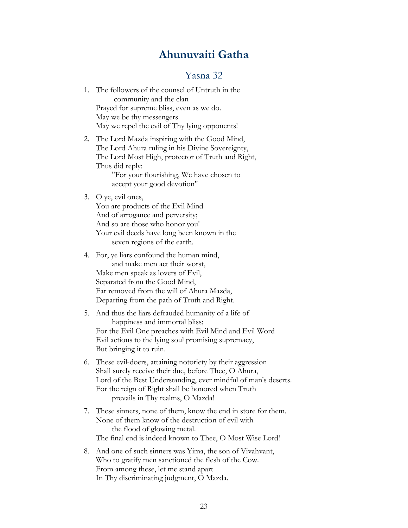## **Ahunuvaiti Gatha**

#### Yasna 32

- <span id="page-24-0"></span>1. The followers of the counsel of Untruth in the community and the clan Prayed for supreme bliss, even as we do. May we be thy messengers May we repel the evil of Thy lying opponents!
- 2. The Lord Mazda inspiring with the Good Mind, The Lord Ahura ruling in his Divine Sovereignty, The Lord Most High, protector of Truth and Right, Thus did reply:

 "For your flourishing, We have chosen to accept your good devotion"

3. O ye, evil ones,

You are products of the Evil Mind And of arrogance and perversity; And so are those who honor you! Your evil deeds have long been known in the seven regions of the earth.

- 4. For, ye liars confound the human mind, and make men act their worst, Make men speak as lovers of Evil, Separated from the Good Mind, Far removed from the will of Ahura Mazda, Departing from the path of Truth and Right.
- 5. And thus the liars defrauded humanity of a life of happiness and immortal bliss; For the Evil One preaches with Evil Mind and Evil Word Evil actions to the lying soul promising supremacy, But bringing it to ruin.
- 6. These evil-doers, attaining notoriety by their aggression Shall surely receive their due, before Thee, O Ahura, Lord of the Best Understanding, ever mindful of man's deserts. For the reign of Right shall be honored when Truth prevails in Thy realms, O Mazda!
- 7. These sinners, none of them, know the end in store for them. None of them know of the destruction of evil with the flood of glowing metal. The final end is indeed known to Thee, O Most Wise Lord!
- 8. And one of such sinners was Yima, the son of Vivahvant, Who to gratify men sanctioned the flesh of the Cow. From among these, let me stand apart In Thy discriminating judgment, O Mazda.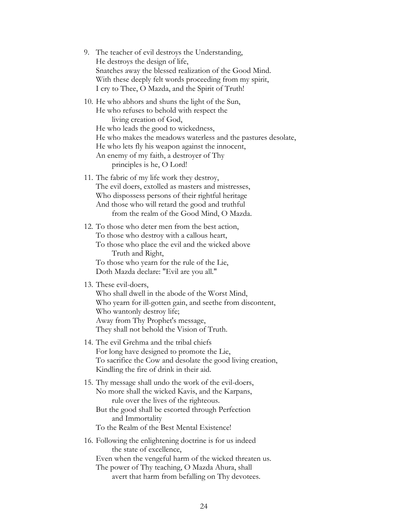- 9. The teacher of evil destroys the Understanding, He destroys the design of life, Snatches away the blessed realization of the Good Mind. With these deeply felt words proceeding from my spirit, I cry to Thee, O Mazda, and the Spirit of Truth!
- 10. He who abhors and shuns the light of the Sun, He who refuses to behold with respect the living creation of God, He who leads the good to wickedness, He who makes the meadows waterless and the pastures desolate, He who lets fly his weapon against the innocent, An enemy of my faith, a destroyer of Thy principles is he, O Lord!
- 11. The fabric of my life work they destroy, The evil doers, extolled as masters and mistresses, Who dispossess persons of their rightful heritage And those who will retard the good and truthful from the realm of the Good Mind, O Mazda.
- 12. To those who deter men from the best action, To those who destroy with a callous heart, To those who place the evil and the wicked above Truth and Right, To those who yearn for the rule of the Lie, Doth Mazda declare: "Evil are you all."

#### 13. These evil-doers,

Who shall dwell in the abode of the Worst Mind, Who yearn for ill-gotten gain, and seethe from discontent, Who wantonly destroy life; Away from Thy Prophet's message, They shall not behold the Vision of Truth.

- 14. The evil Grehma and the tribal chiefs For long have designed to promote the Lie, To sacrifice the Cow and desolate the good living creation, Kindling the fire of drink in their aid.
- 15. Thy message shall undo the work of the evil-doers, No more shall the wicked Kavis, and the Karpans, rule over the lives of the righteous. But the good shall be escorted through Perfection and Immortality To the Realm of the Best Mental Existence!
- 16. Following the enlightening doctrine is for us indeed the state of excellence, Even when the vengeful harm of the wicked threaten us. The power of Thy teaching, O Mazda Ahura, shall avert that harm from befalling on Thy devotees.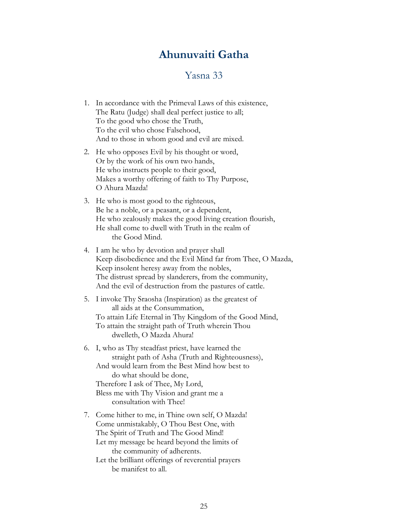## **Ahunuvaiti Gatha**

#### Yasna 33

- <span id="page-26-0"></span>1. In accordance with the Primeval Laws of this existence, The Ratu (Judge) shall deal perfect justice to all; To the good who chose the Truth, To the evil who chose Falsehood, And to those in whom good and evil are mixed.
- 2. He who opposes Evil by his thought or word, Or by the work of his own two hands, He who instructs people to their good, Makes a worthy offering of faith to Thy Purpose, O Ahura Mazda!
- 3. He who is most good to the righteous, Be he a noble, or a peasant, or a dependent, He who zealously makes the good living creation flourish, He shall come to dwell with Truth in the realm of the Good Mind.
- 4. I am he who by devotion and prayer shall Keep disobedience and the Evil Mind far from Thee, O Mazda, Keep insolent heresy away from the nobles, The distrust spread by slanderers, from the community, And the evil of destruction from the pastures of cattle.
- 5. I invoke Thy Sraosha (Inspiration) as the greatest of all aids at the Consummation, To attain Life Eternal in Thy Kingdom of the Good Mind, To attain the straight path of Truth wherein Thou dwelleth, O Mazda Ahura!
- 6. I, who as Thy steadfast priest, have learned the straight path of Asha (Truth and Righteousness), And would learn from the Best Mind how best to do what should be done, Therefore I ask of Thee, My Lord, Bless me with Thy Vision and grant me a consultation with Thee!
- 7. Come hither to me, in Thine own self, O Mazda! Come unmistakably, O Thou Best One, with The Spirit of Truth and The Good Mind! Let my message be heard beyond the limits of the community of adherents. Let the brilliant offerings of reverential prayers be manifest to all.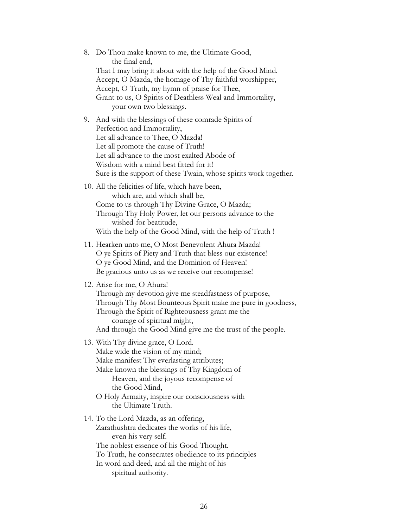8. Do Thou make known to me, the Ultimate Good, the final end, That I may bring it about with the help of the Good Mind. Accept, O Mazda, the homage of Thy faithful worshipper, Accept, O Truth, my hymn of praise for Thee, Grant to us, O Spirits of Deathless Weal and Immortality, your own two blessings. 9. And with the blessings of these comrade Spirits of Perfection and Immortality, Let all advance to Thee, O Mazda! Let all promote the cause of Truth! Let all advance to the most exalted Abode of Wisdom with a mind best fitted for it! Sure is the support of these Twain, whose spirits work together. 10. All the felicities of life, which have been, which are, and which shall be, Come to us through Thy Divine Grace, O Mazda; Through Thy Holy Power, let our persons advance to the wished-for beatitude, With the help of the Good Mind, with the help of Truth ! 11. Hearken unto me, O Most Benevolent Ahura Mazda! O ye Spirits of Piety and Truth that bless our existence! O ye Good Mind, and the Dominion of Heaven! Be gracious unto us as we receive our recompense! 12. Arise for me, O Ahura! Through my devotion give me steadfastness of purpose, Through Thy Most Bounteous Spirit make me pure in goodness, Through the Spirit of Righteousness grant me the courage of spiritual might, And through the Good Mind give me the trust of the people. 13. With Thy divine grace, O Lord. Make wide the vision of my mind; Make manifest Thy everlasting attributes; Make known the blessings of Thy Kingdom of Heaven, and the joyous recompense of the Good Mind, O Holy Armaity, inspire our consciousness with the Ultimate Truth. 14. To the Lord Mazda, as an offering, Zarathushtra dedicates the works of his life, even his very self. The noblest essence of his Good Thought. To Truth, he consecrates obedience to its principles In word and deed, and all the might of his spiritual authority.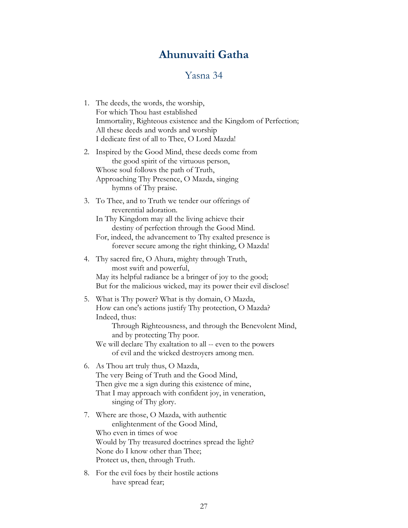# **Ahunuvaiti Gatha**

## Yasna 34

<span id="page-28-0"></span>

| 1. | The deeds, the words, the worship,<br>For which Thou hast established<br>Immortality, Righteous existence and the Kingdom of Perfection;<br>All these deeds and words and worship<br>I dedicate first of all to Thee, O Lord Mazda!                                                                                                 |
|----|-------------------------------------------------------------------------------------------------------------------------------------------------------------------------------------------------------------------------------------------------------------------------------------------------------------------------------------|
| 2. | Inspired by the Good Mind, these deeds come from<br>the good spirit of the virtuous person,<br>Whose soul follows the path of Truth,<br>Approaching Thy Presence, O Mazda, singing<br>hymns of Thy praise.                                                                                                                          |
|    | 3. To Thee, and to Truth we tender our offerings of<br>reverential adoration.<br>In Thy Kingdom may all the living achieve their<br>destiny of perfection through the Good Mind.<br>For, indeed, the advancement to Thy exalted presence is<br>forever secure among the right thinking, O Mazda!                                    |
| 4. | Thy sacred fire, O Ahura, mighty through Truth,<br>most swift and powerful,<br>May its helpful radiance be a bringer of joy to the good;<br>But for the malicious wicked, may its power their evil disclose!                                                                                                                        |
| 5. | What is Thy power? What is thy domain, O Mazda,<br>How can one's actions justify Thy protection, O Mazda?<br>Indeed, thus:<br>Through Righteousness, and through the Benevolent Mind,<br>and by protecting Thy poor.<br>We will declare Thy exaltation to all -- even to the powers<br>of evil and the wicked destroyers among men. |
| 6. | As Thou art truly thus, O Mazda,<br>The very Being of Truth and the Good Mind,<br>Then give me a sign during this existence of mine,<br>That I may approach with confident joy, in veneration,<br>singing of Thy glory.                                                                                                             |
|    | 7. Where are those, O Mazda, with authentic<br>enlightenment of the Good Mind,                                                                                                                                                                                                                                                      |

- Who even in times of woe Would by Thy treasured doctrines spread the light? None do I know other than Thee; Protect us, then, through Truth.
- 8. For the evil foes by their hostile actions have spread fear;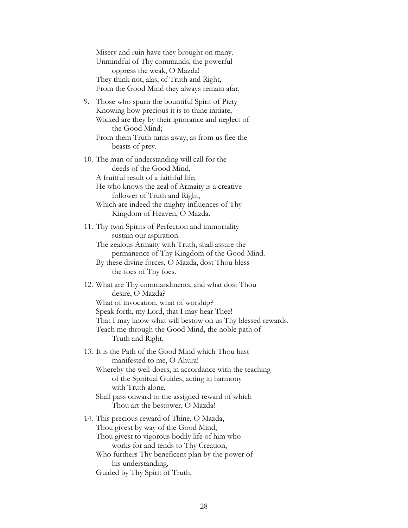Misery and ruin have they brought on many. Unmindful of Thy commands, the powerful oppress the weak, O Mazda! They think not, alas, of Truth and Right, From the Good Mind they always remain afar.

9. Those who spurn the bountiful Spirit of Piety Knowing how precious it is to thine initiate, Wicked are they by their ignorance and neglect of the Good Mind;

From them Truth turns away, as from us flee the beasts of prey.

- 10. The man of understanding will call for the deeds of the Good Mind, A fruitful result of a faithful life; He who knows the zeal of Armaity is a creative
	- follower of Truth and Right, Which are indeed the mighty-influences of Thy Kingdom of Heaven, O Mazda.
- 11. Thy twin Spirits of Perfection and immortality sustain our aspiration.

The zealous Armaity with Truth, shall assure the permanence of Thy Kingdom of the Good Mind.

- By these divine forces, O Mazda, dost Thou bless the foes of Thy foes.
- 12. What are Thy commandments, and what dost Thou desire, O Mazda? What of invocation, what of worship? Speak forth, my Lord, that I may hear Thee! That I may know what will bestow on us Thy blessed rewards. Teach me through the Good Mind, the noble path of Truth and Right.
- 13. It is the Path of the Good Mind which Thou hast manifested to me, O Ahura!

Whereby the well-doers, in accordance with the teaching of the Spiritual Guides, acting in harmony with Truth alone,

Shall pass onward to the assigned reward of which Thou art the bestower, O Mazda!

14. This precious reward of Thine, O Mazda, Thou givest by way of the Good Mind, Thou givest to vigorous bodily life of him who works for and tends to Thy Creation, Who furthers Thy beneficent plan by the power of his understanding, Guided by Thy Spirit of Truth.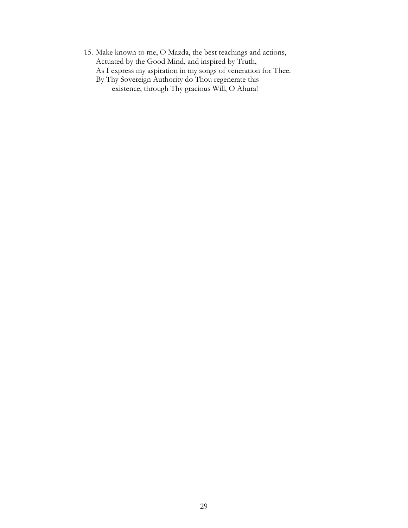15. Make known to me, O Mazda, the best teachings and actions, Actuated by the Good Mind, and inspired by Truth, As I express my aspiration in my songs of veneration for Thee. By Thy Sovereign Authority do Thou regenerate this existence, through Thy gracious Will, O Ahura!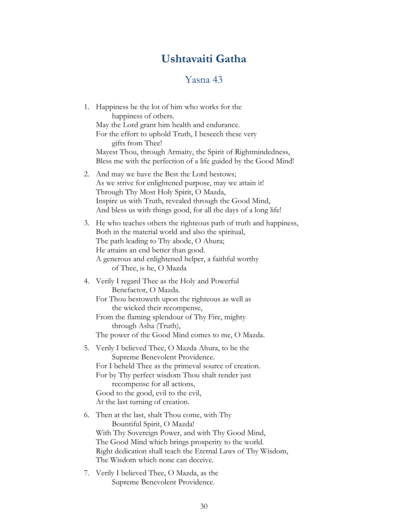# **Ushtavaiti Gatha**

## Yasna 43

<span id="page-31-0"></span>

| 1.            | Happiness be the lot of him who works for the<br>happiness of others.                                               |
|---------------|---------------------------------------------------------------------------------------------------------------------|
|               | May the Lord grant him health and endurance.                                                                        |
|               | For the effort to uphold Truth, I beseech these very                                                                |
|               | gifts from Thee!                                                                                                    |
|               | Mayest Thou, through Armaity, the Spirit of Rightmindedness,                                                        |
|               | Bless me with the perfection of a life guided by the Good Mind!                                                     |
| 2.            | And may we have the Best the Lord bestows;                                                                          |
|               | As we strive for enlightened purpose, may we attain it!                                                             |
|               | Through Thy Most Holy Spirit, O Mazda,                                                                              |
|               | Inspire us with Truth, revealed through the Good Mind,                                                              |
|               | And bless us with things good, for all the days of a long life!                                                     |
| 3.            | He who teaches others the righteous path of truth and happiness,                                                    |
|               | Both in the material world and also the spiritual,                                                                  |
|               | The path leading to Thy abode, O Ahura;<br>He attains an end better than good.                                      |
|               | A generous and enlightened helper, a faithful worthy                                                                |
|               | of Thee, is he, O Mazda                                                                                             |
|               | 4. Verily I regard Thee as the Holy and Powerful                                                                    |
|               | Benefactor, O Mazda.                                                                                                |
|               | For Thou bestoweth upon the righteous as well as                                                                    |
|               | the wicked their recompense,                                                                                        |
|               | From the flaming splendour of Thy Fire, mighty<br>through Asha (Truth),                                             |
|               | The power of the Good Mind comes to me, O Mazda.                                                                    |
|               |                                                                                                                     |
|               | 5. Verily I believed Thee, O Mazda Ahura, to be the<br>Supreme Benevolent Providence.                               |
|               | For I beheld Thee as the primeval source of creation.                                                               |
|               | For by Thy perfect wisdom Thou shalt render just                                                                    |
|               | recompense for all actions,                                                                                         |
|               | Good to the good, evil to the evil,                                                                                 |
|               | At the last turning of creation.                                                                                    |
| 6.            | Then at the last, shalt Thou come, with Thy                                                                         |
|               | Bountiful Spirit, O Mazda!                                                                                          |
|               | With Thy Sovereign Power, and with Thy Good Mind,                                                                   |
|               | The Good Mind which brings prosperity to the world.<br>Right dedication shall teach the Eternal Laws of Thy Wisdom, |
|               | The Wisdom which none can deceive.                                                                                  |
| $\frac{1}{2}$ | Verily I believed Thee, O Mazda, as the                                                                             |
|               |                                                                                                                     |

Supreme Benevolent Providence.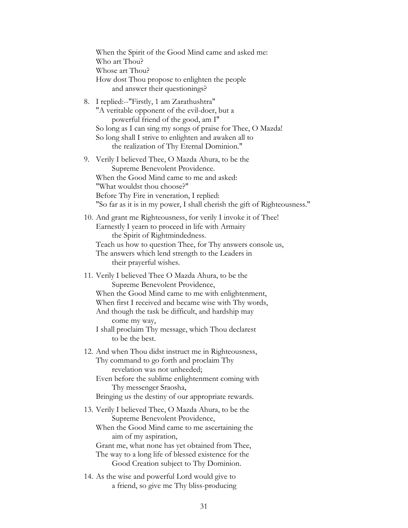When the Spirit of the Good Mind came and asked me: Who art Thou? Whose art Thou? How dost Thou propose to enlighten the people and answer their questionings? 8. I replied:--"Firstly, 1 am Zarathushtra" "A veritable opponent of the evil-doer, but a powerful friend of the good, am I" So long as I can sing my songs of praise for Thee, O Mazda! So long shall I strive to enlighten and awaken all to the realization of Thy Eternal Dominion." 9. Verily I believed Thee, O Mazda Ahura, to be the Supreme Benevolent Providence. When the Good Mind came to me and asked: "What wouldst thou choose?" Before Thy Fire in veneration, I replied: "So far as it is in my power, I shall cherish the gift of Righteousness." 10. And grant me Righteousness, for verily I invoke it of Thee! Earnestly I yearn to proceed in life with Armaity the Spirit of Rightmindedness. Teach us how to question Thee, for Thy answers console us, The answers which lend strength to the Leaders in their prayerful wishes. 11. Verily I believed Thee O Mazda Ahura, to be the Supreme Benevolent Providence, When the Good Mind came to me with enlightenment, When first I received and became wise with Thy words, And though the task be difficult, and hardship may come my way, I shall proclaim Thy message, which Thou declarest to be the best. 12. And when Thou didst instruct me in Righteousness, Thy command to go forth and proclaim Thy revelation was not unheeded; Even before the sublime enlightenment coming with Thy messenger Sraosha, Bringing us the destiny of our appropriate rewards. 13. Verily I believed Thee, O Mazda Ahura, to be the Supreme Benevolent Providence, When the Good Mind came to me ascertaining the aim of my aspiration, Grant me, what none has yet obtained from Thee, The way to a long life of blessed existence for the Good Creation subject to Thy Dominion. 14. As the wise and powerful Lord would give to a friend, so give me Thy bliss-producing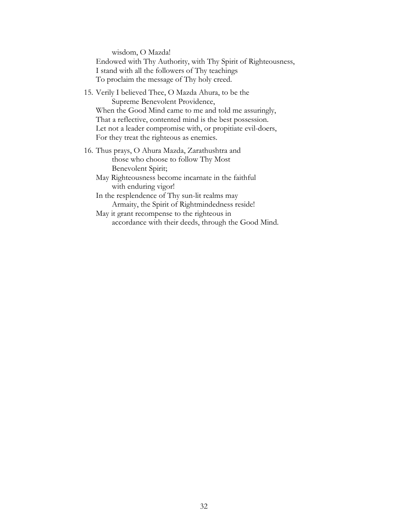wisdom, O Mazda! Endowed with Thy Authority, with Thy Spirit of Righteousness, I stand with all the followers of Thy teachings To proclaim the message of Thy holy creed.

- 15. Verily I believed Thee, O Mazda Ahura, to be the Supreme Benevolent Providence, When the Good Mind came to me and told me assuringly, That a reflective, contented mind is the best possession. Let not a leader compromise with, or propitiate evil-doers, For they treat the righteous as enemies.
- 16. Thus prays, O Ahura Mazda, Zarathushtra and those who choose to follow Thy Most Benevolent Spirit;

May Righteousness become incarnate in the faithful with enduring vigor!

In the resplendence of Thy sun-lit realms may Armaity, the Spirit of Rightmindedness reside!

May it grant recompense to the righteous in accordance with their deeds, through the Good Mind.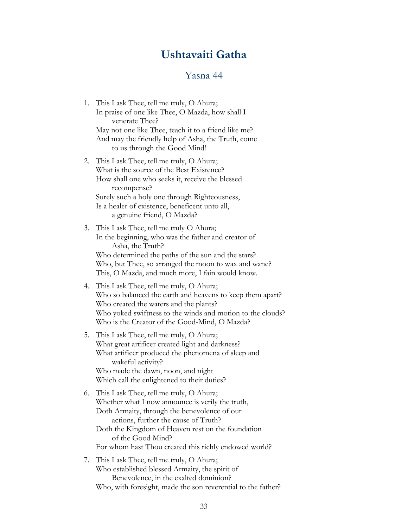### **Ushtavaiti Gatha**

#### Yasna 44

- <span id="page-34-0"></span>1. This I ask Thee, tell me truly, O Ahura; In praise of one like Thee, O Mazda, how shall I venerate Thee? May not one like Thee, teach it to a friend like me? And may the friendly help of Asha, the Truth, come to us through the Good Mind!
- 2. This I ask Thee, tell me truly, O Ahura; What is the source of the Best Existence? How shall one who seeks it, receive the blessed recompense? Surely such a holy one through Righteousness, Is a healer of existence, beneficent unto all, a genuine friend, O Mazda?
- 3. This I ask Thee, tell me truly O Ahura; In the beginning, who was the father and creator of Asha, the Truth? Who determined the paths of the sun and the stars? Who, but Thee, so arranged the moon to wax and wane? This, O Mazda, and much more, I fain would know.
- 4. This I ask Thee, tell me truly, O Ahura; Who so balanced the earth and heavens to keep them apart? Who created the waters and the plants? Who yoked swiftness to the winds and motion to the clouds? Who is the Creator of the Good-Mind, O Mazda?
- 5. This I ask Thee, tell me truly, O Ahura; What great artificer created light and darkness? What artificer produced the phenomena of sleep and wakeful activity? Who made the dawn, noon, and night Which call the enlightened to their duties?
- 6. This I ask Thee, tell me truly, O Ahura; Whether what I now announce is verily the truth, Doth Armaity, through the benevolence of our actions, further the cause of Truth? Doth the Kingdom of Heaven rest on the foundation of the Good Mind? For whom hast Thou created this richly endowed world?
- 7. This I ask Thee, tell me truly, O Ahura; Who established blessed Armaity, the spirit of Benevolence, in the exalted dominion? Who, with foresight, made the son reverential to the father?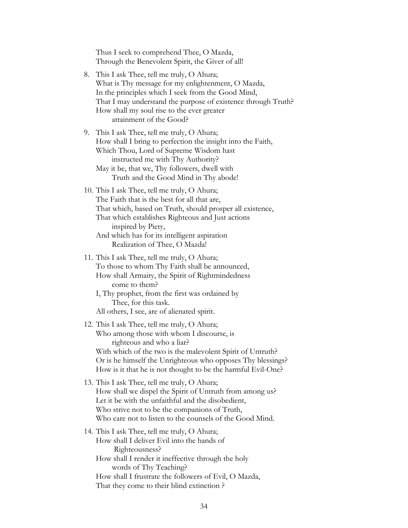Thus I seek to comprehend Thee, O Mazda, Through the Benevolent Spirit, the Giver of all!

- 8. This I ask Thee, tell me truly, O Ahura; What is Thy message for my enlightenment, O Mazda, In the principles which I seek from the Good Mind, That I may understand the purpose of existence through Truth? How shall my soul rise to the ever greater attainment of the Good?
- 9. This I ask Thee, tell me truly, O Ahura; How shall I bring to perfection the insight into the Faith, Which Thou, Lord of Supreme Wisdom hast instructed me with Thy Authority? May it be, that we, Thy followers, dwell with Truth and the Good Mind in Thy abode!
- 10. This I ask Thee, tell me truly, O Ahura; The Faith that is the best for all that are, That which, based on Truth, should prosper all existence, That which establishes Righteous and Just actions inspired by Piety, And which has for its intelligent aspiration Realization of Thee, O Mazda!
- 11. This I ask Thee, tell me truly, O Ahura; To those to whom Thy Faith shall be announced, How shall Armaity, the Spirit of Rightmindedness come to them?
	- I, Thy prophet, from the first was ordained by Thee, for this task. All others, I see, are of alienated spirit.
- 12. This I ask Thee, tell me truly, O Ahura; Who among those with whom I discourse, is righteous and who a liar? With which of the two is the malevolent Spirit of Untruth? Or is he himself the Unrighteous who opposes Thy blessings? How is it that he is not thought to be the harmful Evil-One?
- 13. This I ask Thee, tell me truly, O Ahura; How shall we dispel the Spirit of Untruth from among us? Let it be with the unfaithful and the disobedient, Who strive not to be the companions of Truth, Who care not to listen to the counsels of the Good Mind.
- 14. This I ask Thee, tell me truly, O Ahura; How shall I deliver Evil into the hands of Righteousness? How shall I render it ineffective through the holy words of Thy Teaching? How shall I frustrate the followers of Evil, O Mazda, That they come to their blind extinction ?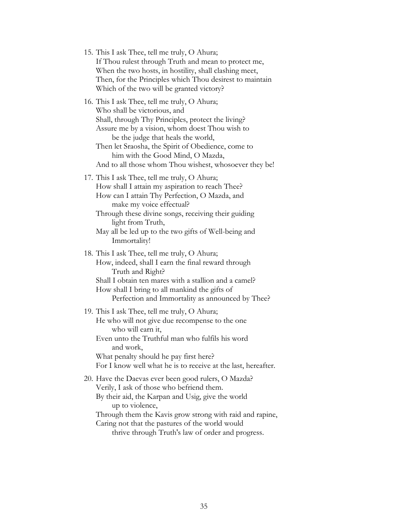15. This I ask Thee, tell me truly, O Ahura; If Thou rulest through Truth and mean to protect me, When the two hosts, in hostility, shall clashing meet, Then, for the Principles which Thou desirest to maintain Which of the two will be granted victory?

16. This I ask Thee, tell me truly, O Ahura; Who shall be victorious, and Shall, through Thy Principles, protect the living? Assure me by a vision, whom doest Thou wish to be the judge that heals the world, Then let Sraosha, the Spirit of Obedience, come to him with the Good Mind, O Mazda, And to all those whom Thou wishest, whosoever they be!

17. This I ask Thee, tell me truly, O Ahura; How shall I attain my aspiration to reach Thee? How can I attain Thy Perfection, O Mazda, and make my voice effectual?

Through these divine songs, receiving their guiding light from Truth,

May all be led up to the two gifts of Well-being and Immortality!

18. This I ask Thee, tell me truly, O Ahura; How, indeed, shall I earn the final reward through Truth and Right? Shall I obtain ten mares with a stallion and a camel? How shall I bring to all mankind the gifts of Perfection and Immortality as announced by Thee?

19. This I ask Thee, tell me truly, O Ahura; He who will not give due recompense to the one who will earn it, Even unto the Truthful man who fulfils his word and work, What penalty should he pay first here?

For I know well what he is to receive at the last, hereafter.

20. Have the Daevas ever been good rulers, O Mazda? Verily, I ask of those who befriend them. By their aid, the Karpan and Usig, give the world up to violence, Through them the Kavis grow strong with raid and rapine,

Caring not that the pastures of the world would

thrive through Truth's law of order and progress.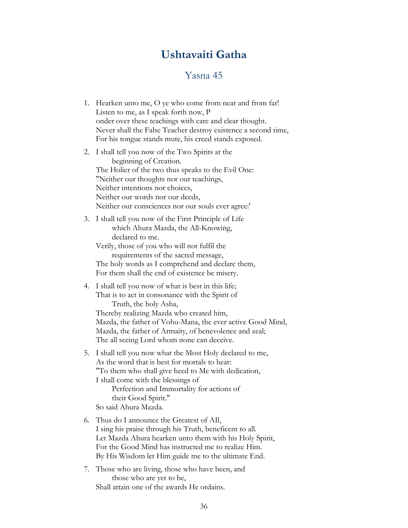## **Ushtavaiti Gatha**

#### Yasna 45

- <span id="page-37-0"></span>1. Hearken unto me, O ye who come from near and from far! Listen to me, as I speak forth now, P onder over these teachings with care and clear thought. Never shall the False Teacher destroy existence a second time, For his tongue stands mute, his creed stands exposed.
- 2. I shall tell you now of the Two Spirits at the beginning of Creation. The Holier of the two thus speaks to the Evil One: "Neither our thoughts nor our teachings, Neither intentions nor choices, Neither our words nor our deeds, Neither our consciences nor our souls ever agree:'
- 3. I shall tell you now of the First Principle of Life which Ahura Mazda, the All-Knowing, declared to me.

Verily, those of you who will not fulfil the requirements of the sacred message, The holy words as I comprehend and declare them, For them shall the end of existence be misery.

4. I shall tell you now of what is best in this life; That is to act in consonance with the Spirit of Truth, the holy Asha,

Thereby realizing Mazda who created him, Mazda, the father of Vohu-Mana, the ever active Good Mind, Mazda, the father of Armaity, of benevolence and zeal; The all seeing Lord whom none can deceive.

5. I shall tell you now what the Most Holy declared to me, As the word that is best for mortals to hear: "To them who shall give heed to Me with dedication, I shall come with the blessings of

 Perfection and Immortality for actions of their Good Spirit."

- So said Ahura Mazda.
- 6. Thus do I announce the Greatest of AIl, I sing his praise through his Truth, beneficent to all. Let Mazda Ahura hearken unto them with his Holy Spirit, For the Good Mind has instructed me to realize Him. By His Wisdom let Him guide me to the ultimate End.
- 7. Those who are living, those who have been, and those who are yet to be, Shall attain one of the awards He ordains.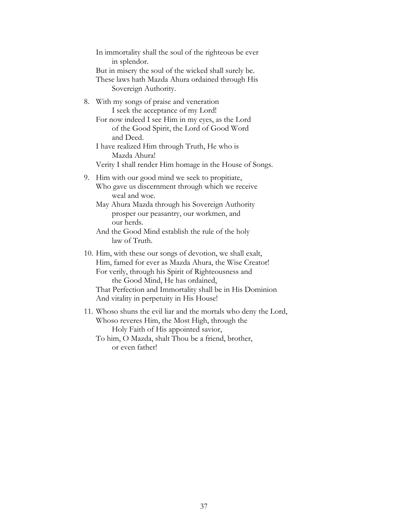In immortality shall the soul of the righteous be ever in splendor. But in misery the soul of the wicked shall surely be. These laws hath Mazda Ahura ordained through His Sovereign Authority.

8. With my songs of praise and veneration I seek the acceptance of my Lord!

For now indeed I see Him in my eyes, as the Lord of the Good Spirit, the Lord of Good Word and Deed.

I have realized Him through Truth, He who is Mazda Ahura!

Verity I shall render Him homage in the House of Songs.

- 9. Him with our good mind we seek to propitiate, Who gave us discernment through which we receive weal and woe.
	- May Ahura Mazda through his Sovereign Authority prosper our peasantry, our workmen, and our herds.
	- And the Good Mind establish the rule of the holy law of Truth.
- 10. Him, with these our songs of devotion, we shall exalt, Him, famed for ever as Mazda Ahura, the Wise Creator! For verily, through his Spirit of Righteousness and the Good Mind, He has ordained, That Perfection and Immortality shall be in His Dominion And vitality in perpetuity in His House!
- 11. Whoso shuns the evil liar and the mortals who deny the Lord, Whoso reveres Him, the Most High, through the Holy Faith of His appointed savior,
	- To him, O Mazda, shalt Thou be a friend, brother, or even father!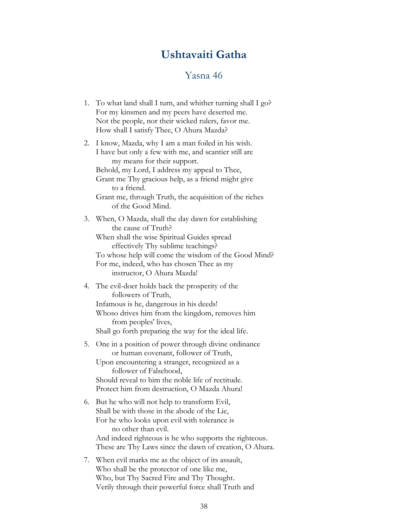### **Ushtavaiti Gatha**

#### Yasna 46

- <span id="page-39-0"></span>1. To what land shall I turn, and whither turning shall I go? For my kinsmen and my peers have deserted me. Not the people, nor their wicked rulers, favor me. How shall I satisfy Thee, O Ahura Mazda?
- 2. I know, Mazda, why I am a man foiled in his wish. I have but only a few with me, and scantier still are my means for their support. Behold, my Lord, I address my appeal to Thee, Grant me Thy gracious help, as a friend might give to a friend. Grant me, through Truth, the acquisition of the riches of the Good Mind.

3. When, O Mazda, shall the day dawn for establishing the cause of Truth? When shall the wise Spiritual Guides spread effectively Thy sublime teachings? To whose help will come the wisdom of the Good Mind? For me, indeed, who has chosen Thee as my instructor, O Ahura Mazda!

4. The evil-doer holds back the prosperity of the followers of Truth, Infamous is he, dangerous in his deeds!

Whoso drives him from the kingdom, removes him from peoples' lives,

Shall go forth preparing the way for the ideal life.

5. One in a position of power through divine ordinance or human covenant, follower of Truth,

Upon encountering a stranger, recognized as a follower of Falsehood, Should reveal to him the noble life of rectitude.

Protect him from destruction, O Mazda Ahura!

- 6. But he who will not help to transform Evil, Shall be with those in the abode of the Lie, For he who looks upon evil with tolerance is no other than evil. And indeed righteous is he who supports the righteous. These are Thy Laws since the dawn of creation, O Ahura.
- 7. When evil marks me as the object of its assault, Who shall be the protector of one like me, Who, but Thy Sacred Fire and Thy Thought. Verily through their powerful force shall Truth and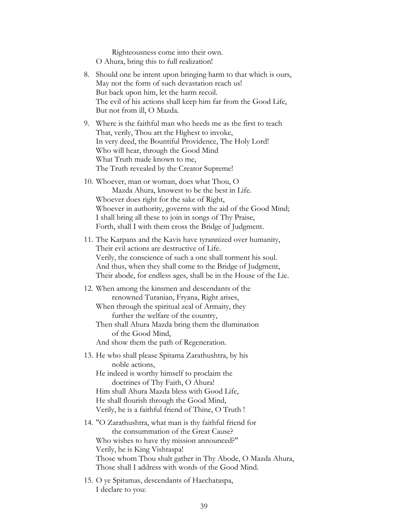Righteousness come into their own. O Ahura, bring this to full realization!

- 8. Should one be intent upon bringing harm to that which is ours, May not the form of such devastation reach us! But back upon him, let the harm recoil. The evil of his actions shall keep him far from the Good Life, But not from ill, O Mazda.
- 9. Where is the faithful man who heeds me as the first to teach That, verily, Thou art the Highest to invoke, In very deed, the Bountiful Providence, The Holy Lord! Who will hear, through the Good Mind What Truth made known to me, The Truth revealed by the Creator Supreme!
- 10. Whoever, man or woman, does what Thou, O Mazda Ahura, knowest to be the best in Life. Whoever does right for the sake of Right, Whoever in authority, governs with the aid of the Good Mind; I shall bring all these to join in songs of Thy Praise, Forth, shall I with them cross the Bridge of Judgment.
- 11. The Karpans and the Kavis have tyrannized over humanity, Their evil actions are destructive of Life. Verily, the conscience of such a one shall torment his soul. And thus, when they shall come to the Bridge of Judgment, Their abode, for endless ages, shall be in the House of the Lie.
- 12. When among the kinsmen and descendants of the renowned Turanian, Fryana, Right arises,
	- When through the spiritual zeal of Armaity, they further the welfare of the country,
	- Then shall Ahura Mazda bring them the illumination of the Good Mind,

And show them the path of Regeneration.

13. He who shall please Spitama Zarathushtra, by his noble actions,

He indeed is worthy himself to proclaim the doctrines of Thy Faith, O Ahura! Him shall Ahura Mazda bless with Good Life, He shall flourish through the Good Mind, Verily, he is a faithful friend of Thine, O Truth !

- 14. "O Zarathushtra, what man is thy faithful friend for the consummation of the Great Cause? Who wishes to have thy mission announced?" Verily, he is King Vishtaspa! Those whom Thou shalt gather in Thy Abode, O Mazda Ahura, Those shall I address with words of the Good Mind.
- 15. O ye Spitamas, descendants of Haechataspa, I declare to you: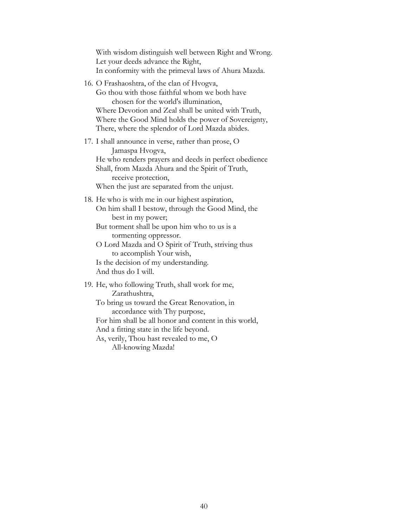With wisdom distinguish well between Right and Wrong. Let your deeds advance the Right, In conformity with the primeval laws of Ahura Mazda.

16. O Frashaoshtra, of the clan of Hvogva, Go thou with those faithful whom we both have chosen for the world's illumination, Where Devotion and Zeal shall be united with Truth, Where the Good Mind holds the power of Sovereignty, There, where the splendor of Lord Mazda abides.

17. I shall announce in verse, rather than prose, O Jamaspa Hvogva, He who renders prayers and deeds in perfect obedience Shall, from Mazda Ahura and the Spirit of Truth, receive protection, When the just are separated from the unjust.

18. He who is with me in our highest aspiration, On him shall I bestow, through the Good Mind, the best in my power;

But torment shall be upon him who to us is a tormenting oppressor.

O Lord Mazda and O Spirit of Truth, striving thus to accomplish Your wish,

Is the decision of my understanding. And thus do I will.

19. He, who following Truth, shall work for me, Zarathushtra,

To bring us toward the Great Renovation, in accordance with Thy purpose,

For him shall be all honor and content in this world, And a fitting state in the life beyond.

As, verily, Thou hast revealed to me, O All-knowing Mazda!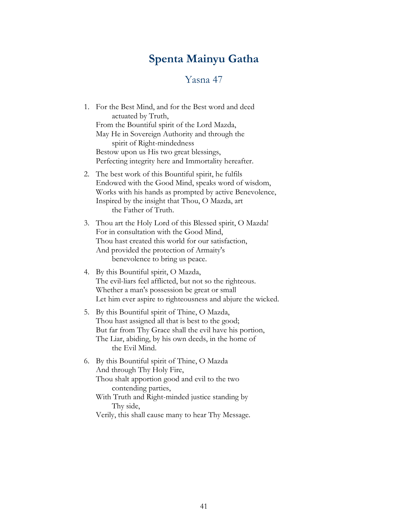## **Spenta Mainyu Gatha**

#### Yasna 47

- <span id="page-42-0"></span>1. For the Best Mind, and for the Best word and deed actuated by Truth, From the Bountiful spirit of the Lord Mazda, May He in Sovereign Authority and through the spirit of Right-mindedness Bestow upon us His two great blessings, Perfecting integrity here and Immortality hereafter.
- 2. The best work of this Bountiful spirit, he fulfils Endowed with the Good Mind, speaks word of wisdom, Works with his hands as prompted by active Benevolence, Inspired by the insight that Thou, O Mazda, art the Father of Truth.
- 3. Thou art the Holy Lord of this Blessed spirit, O Mazda! For in consultation with the Good Mind, Thou hast created this world for our satisfaction, And provided the protection of Armaity's benevolence to bring us peace.
- 4. By this Bountiful spirit, O Mazda, The evil-liars feel afflicted, but not so the righteous. Whether a man's possession be great or small Let him ever aspire to righteousness and abjure the wicked.
- 5. By this Bountiful spirit of Thine, O Mazda, Thou hast assigned all that is best to the good; But far from Thy Grace shall the evil have his portion, The Liar, abiding, by his own deeds, in the home of the Evil Mind.
- 6. By this Bountiful spirit of Thine, O Mazda And through Thy Holy Fire, Thou shalt apportion good and evil to the two contending parties, With Truth and Right-minded justice standing by Thy side,

Verily, this shall cause many to hear Thy Message.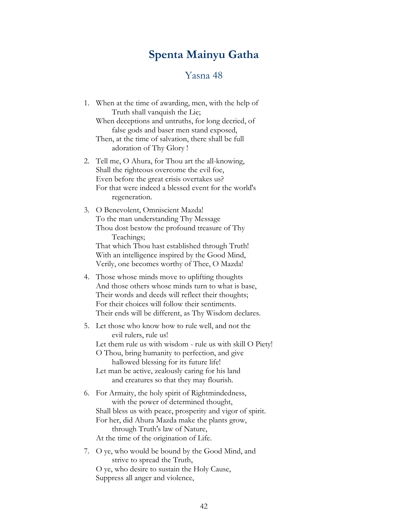## **Spenta Mainyu Gatha**

#### Yasna 48

- <span id="page-43-0"></span>1. When at the time of awarding, men, with the help of Truth shall vanquish the Lie; When deceptions and untruths, for long decried, of false gods and baser men stand exposed, Then, at the time of salvation, there shall be full adoration of Thy Glory !
- 2. Tell me, O Ahura, for Thou art the all-knowing, Shall the righteous overcome the evil foe, Even before the great crisis overtakes us? For that were indeed a blessed event for the world's regeneration.
- 3. O Benevolent, Omniscient Mazda! To the man understanding Thy Message Thou dost bestow the profound treasure of Thy Teachings; That which Thou hast established through Truth! With an intelligence inspired by the Good Mind, Verily, one becomes worthy of Thee, O Mazda!
- 4. Those whose minds move to uplifting thoughts And those others whose minds turn to what is base, Their words and deeds will reflect their thoughts; For their choices will follow their sentiments. Their ends will be different, as Thy Wisdom declares.
- 5. Let those who know how to rule well, and not the evil rulers, rule us! Let them rule us with wisdom - rule us with skill O Piety! O Thou, bring humanity to perfection, and give hallowed blessing for its future life!
	- Let man be active, zealously caring for his land and creatures so that they may flourish.
- 6. For Armaity, the holy spirit of Rightmindedness, with the power of determined thought, Shall bless us with peace, prosperity and vigor of spirit. For her, did Ahura Mazda make the plants grow, through Truth's law of Nature, At the time of the origination of Life.
- 7. O ye, who would be bound by the Good Mind, and strive to spread the Truth, O ye, who desire to sustain the Holy Cause, Suppress all anger and violence,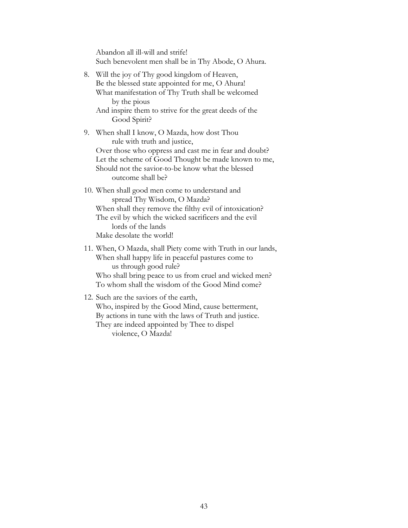Abandon all ill-will and strife! Such benevolent men shall be in Thy Abode, O Ahura.

- 8. Will the joy of Thy good kingdom of Heaven, Be the blessed state appointed for me, O Ahura! What manifestation of Thy Truth shall be welcomed by the pious And inspire them to strive for the great deeds of the Good Spirit?
- 9. When shall I know, O Mazda, how dost Thou rule with truth and justice, Over those who oppress and cast me in fear and doubt? Let the scheme of Good Thought be made known to me, Should not the savior-to-be know what the blessed outcome shall be?
- 10. When shall good men come to understand and spread Thy Wisdom, O Mazda? When shall they remove the filthy evil of intoxication? The evil by which the wicked sacrificers and the evil lords of the lands Make desolate the world!
- 11. When, O Mazda, shall Piety come with Truth in our lands, When shall happy life in peaceful pastures come to us through good rule? Who shall bring peace to us from cruel and wicked men? To whom shall the wisdom of the Good Mind come?
- 12. Such are the saviors of the earth, Who, inspired by the Good Mind, cause betterment, By actions in tune with the laws of Truth and justice. They are indeed appointed by Thee to dispel violence, O Mazda!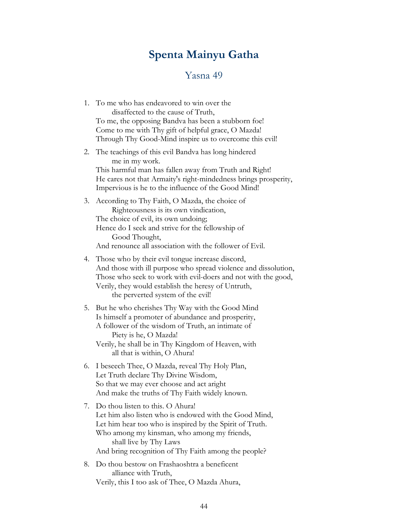## **Spenta Mainyu Gatha**

#### Yasna 49

<span id="page-45-0"></span>1. To me who has endeavored to win over the disaffected to the cause of Truth, To me, the opposing Bandva has been a stubborn foe! Come to me with Thy gift of helpful grace, O Mazda! Through Thy Good-Mind inspire us to overcome this evil!

2. The teachings of this evil Bandva has long hindered me in my work. This harmful man has fallen away from Truth and Right! He cares not that Armaity's right-mindedness brings prosperity, Impervious is he to the influence of the Good Mind!

- 3. According to Thy Faith, O Mazda, the choice of Righteousness is its own vindication, The choice of evil, its own undoing; Hence do I seek and strive for the fellowship of Good Thought, And renounce all association with the follower of Evil.
- 4. Those who by their evil tongue increase discord, And those with ill purpose who spread violence and dissolution, Those who seek to work with evil-doers and not with the good, Verily, they would establish the heresy of Untruth, the perverted system of the evil!
- 5. But he who cherishes Thy Way with the Good Mind Is himself a promoter of abundance and prosperity, A follower of the wisdom of Truth, an intimate of Piety is he, O Mazda! Verily, he shall be in Thy Kingdom of Heaven, with all that is within, O Ahura!
- 6. I beseech Thee, O Mazda, reveal Thy Holy Plan, Let Truth declare Thy Divine Wisdom, So that we may ever choose and act aright And make the truths of Thy Faith widely known.
- 7. Do thou listen to this. O Ahura! Let him also listen who is endowed with the Good Mind, Let him hear too who is inspired by the Spirit of Truth. Who among my kinsman, who among my friends, shall live by Thy Laws And bring recognition of Thy Faith among the people?
- 8. Do thou bestow on Frashaoshtra a beneficent alliance with Truth, Verily, this I too ask of Thee, O Mazda Ahura,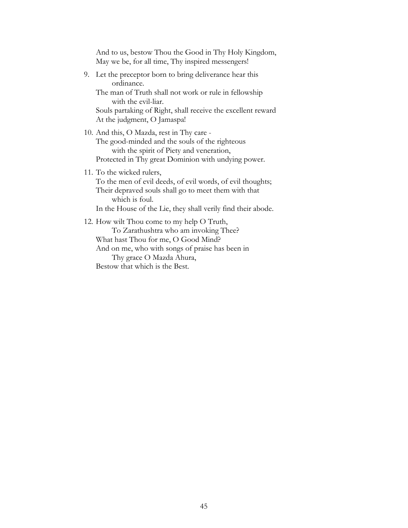And to us, bestow Thou the Good in Thy Holy Kingdom, May we be, for all time, Thy inspired messengers!

9. Let the preceptor born to bring deliverance hear this ordinance.

The man of Truth shall not work or rule in fellowship with the evil-liar.

Souls partaking of Right, shall receive the excellent reward At the judgment, O Jamaspa!

10. And this, O Mazda, rest in Thy care -

The good-minded and the souls of the righteous with the spirit of Piety and veneration, Protected in Thy great Dominion with undying power.

11. To the wicked rulers,

To the men of evil deeds, of evil words, of evil thoughts; Their depraved souls shall go to meet them with that which is foul. In the House of the Lie, they shall verily find their abode.

12. How wilt Thou come to my help O Truth, To Zarathushtra who am invoking Thee? What hast Thou for me, O Good Mind? And on me, who with songs of praise has been in Thy grace O Mazda Ahura, Bestow that which is the Best.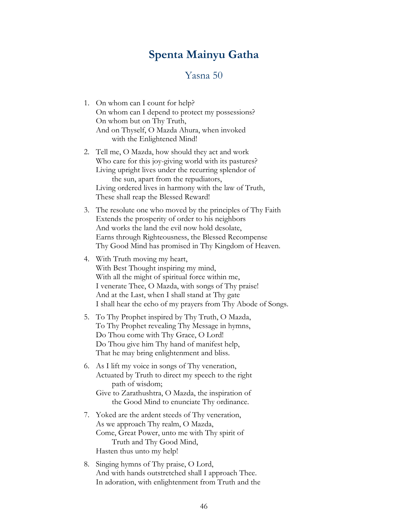## **Spenta Mainyu Gatha**

#### Yasna 50

- <span id="page-47-0"></span>1. On whom can I count for help? On whom can I depend to protect my possessions? On whom but on Thy Truth, And on Thyself, O Mazda Ahura, when invoked with the Enlightened Mind!
- 2. Tell me, O Mazda, how should they act and work Who care for this joy-giving world with its pastures? Living upright lives under the recurring splendor of the sun, apart from the repudiators, Living ordered lives in harmony with the law of Truth, These shall reap the Blessed Reward!
- 3. The resolute one who moved by the principles of Thy Faith Extends the prosperity of order to his neighbors And works the land the evil now hold desolate, Earns through Righteousness, the Blessed Recompense Thy Good Mind has promised in Thy Kingdom of Heaven.
- 4. With Truth moving my heart, With Best Thought inspiring my mind, With all the might of spiritual force within me, I venerate Thee, O Mazda, with songs of Thy praise! And at the Last, when I shall stand at Thy gate I shall hear the echo of my prayers from Thy Abode of Songs.
- 5. To Thy Prophet inspired by Thy Truth, O Mazda, To Thy Prophet revealing Thy Message in hymns, Do Thou come with Thy Grace, O Lord! Do Thou give him Thy hand of manifest help, That he may bring enlightenment and bliss.
- 6. As I lift my voice in songs of Thy veneration, Actuated by Truth to direct my speech to the right path of wisdom;
	- Give to Zarathushtra, O Mazda, the inspiration of the Good Mind to enunciate Thy ordinance.
- 7. Yoked are the ardent steeds of Thy veneration, As we approach Thy realm, O Mazda, Come, Great Power, unto me with Thy spirit of Truth and Thy Good Mind, Hasten thus unto my help!
- 8. Singing hymns of Thy praise, O Lord, And with hands outstretched shall I approach Thee. In adoration, with enlightenment from Truth and the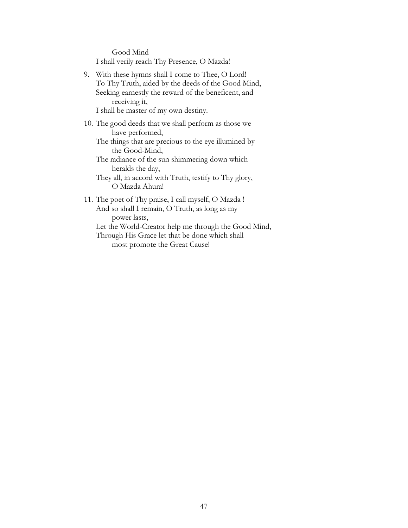Good Mind I shall verily reach Thy Presence, O Mazda!

9. With these hymns shall I come to Thee, O Lord! To Thy Truth, aided by the deeds of the Good Mind, Seeking earnestly the reward of the beneficent, and receiving it,

I shall be master of my own destiny.

- 10. The good deeds that we shall perform as those we have performed,
	- The things that are precious to the eye illumined by the Good-Mind,
	- The radiance of the sun shimmering down which heralds the day,
	- They all, in accord with Truth, testify to Thy glory, O Mazda Ahura!
- 11. The poet of Thy praise, I call myself, O Mazda ! And so shall I remain, O Truth, as long as my power lasts,

Let the World-Creator help me through the Good Mind,

Through His Grace let that be done which shall most promote the Great Cause!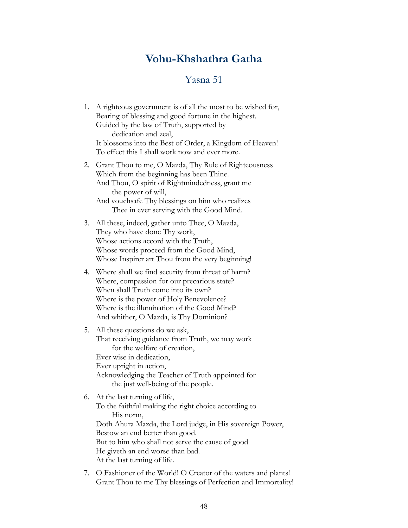## **Vohu-Khshathra Gatha**

#### Yasna 51

- <span id="page-49-0"></span>1. A righteous government is of all the most to be wished for, Bearing of blessing and good fortune in the highest. Guided by the law of Truth, supported by dedication and zeal, It blossoms into the Best of Order, a Kingdom of Heaven! To effect this I shall work now and ever more.
- 2. Grant Thou to me, O Mazda, Thy Rule of Righteousness Which from the beginning has been Thine. And Thou, O spirit of Rightmindedness, grant me the power of will, And vouchsafe Thy blessings on him who realizes Thee in ever serving with the Good Mind.
- 3. All these, indeed, gather unto Thee, O Mazda, They who have done Thy work, Whose actions accord with the Truth, Whose words proceed from the Good Mind, Whose Inspirer art Thou from the very beginning!
- 4. Where shall we find security from threat of harm? Where, compassion for our precarious state? When shall Truth come into its own? Where is the power of Holy Benevolence? Where is the illumination of the Good Mind? And whither, O Mazda, is Thy Dominion?
- 5. All these questions do we ask, That receiving guidance from Truth, we may work for the welfare of creation, Ever wise in dedication, Ever upright in action, Acknowledging the Teacher of Truth appointed for the just well-being of the people.

#### 6. At the last turning of life, To the faithful making the right choice according to His norm, Doth Ahura Mazda, the Lord judge, in His sovereign Power, Bestow an end better than good. But to him who shall not serve the cause of good He giveth an end worse than bad. At the last turning of life.

7. O Fashioner of the World! O Creator of the waters and plants! Grant Thou to me Thy blessings of Perfection and Immortality!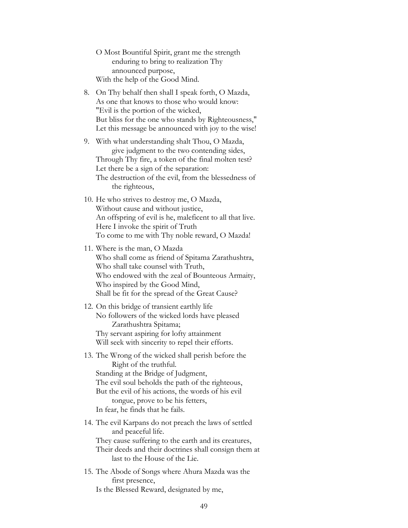- O Most Bountiful Spirit, grant me the strength enduring to bring to realization Thy announced purpose, With the help of the Good Mind.
- 8. On Thy behalf then shall I speak forth, O Mazda, As one that knows to those who would know: "Evil is the portion of the wicked, But bliss for the one who stands by Righteousness," Let this message be announced with joy to the wise!
- 9. With what understanding shalt Thou, O Mazda, give judgment to the two contending sides, Through Thy fire, a token of the final molten test? Let there be a sign of the separation: The destruction of the evil, from the blessedness of the righteous,
- 10. He who strives to destroy me, O Mazda, Without cause and without justice, An offspring of evil is he, maleficent to all that live. Here I invoke the spirit of Truth To come to me with Thy noble reward, O Mazda!
- 11. Where is the man, O Mazda Who shall come as friend of Spitama Zarathushtra, Who shall take counsel with Truth, Who endowed with the zeal of Bounteous Armaity, Who inspired by the Good Mind, Shall be fit for the spread of the Great Cause?
- 12. On this bridge of transient earthly life No followers of the wicked lords have pleased Zarathushtra Spitama; Thy servant aspiring for lofty attainment Will seek with sincerity to repel their efforts.
- 13. The Wrong of the wicked shall perish before the Right of the truthful. Standing at the Bridge of Judgment, The evil soul beholds the path of the righteous, But the evil of his actions, the words of his evil tongue, prove to be his fetters, In fear, he finds that he fails.
- 14. The evil Karpans do not preach the laws of settled and peaceful life. They cause suffering to the earth and its creatures, Their deeds and their doctrines shall consign them at last to the House of the Lie.
- 15. The Abode of Songs where Ahura Mazda was the first presence, Is the Blessed Reward, designated by me,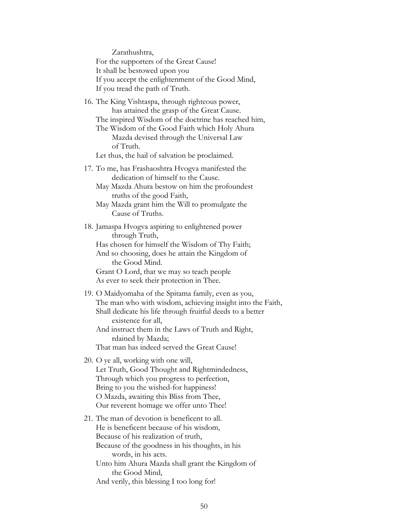Zarathushtra, For the supporters of the Great Cause! It shall be bestowed upon you If you accept the enlightenment of the Good Mind, If you tread the path of Truth.

16. The King Vishtaspa, through righteous power, has attained the grasp of the Great Cause. The inspired Wisdom of the doctrine has reached him, The Wisdom of the Good Faith which Holy Ahura Mazda devised through the Universal Law of Truth.

Let thus, the hail of salvation be proclaimed.

- 17. To me, has Frashaoshtra Hvogva manifested the dedication of himself to the Cause.
	- May Mazda Ahura bestow on him the profoundest truths of the good Faith,
	- May Mazda grant him the Will to promulgate the Cause of Truths.
- 18. Jamaspa Hvogva aspiring to enlightened power through Truth,

Has chosen for himself the Wisdom of Thy Faith; And so choosing, does he attain the Kingdom of

 the Good Mind. Grant O Lord, that we may so teach people

As ever to seek their protection in Thee.

19. O Maidyomaha of the Spitama family, even as you, The man who with wisdom, achieving insight into the Faith, Shall dedicate his life through fruitful deeds to a better existence for all,

And instruct them in the Laws of Truth and Right, rdained by Mazda;

That man has indeed served the Great Cause!

- 20. O ye all, working with one will, Let Truth, Good Thought and Rightmindedness, Through which you progress to perfection, Bring to you the wished-for happiness! O Mazda, awaiting this Bliss from Thee, Our reverent homage we offer unto Thee!
- 21. The man of devotion is beneficent to all. He is beneficent because of his wisdom, Because of his realization of truth, Because of the goodness in his thoughts, in his words, in his acts. Unto him Ahura Mazda shall grant the Kingdom of the Good Mind, And verily, this blessing I too long for!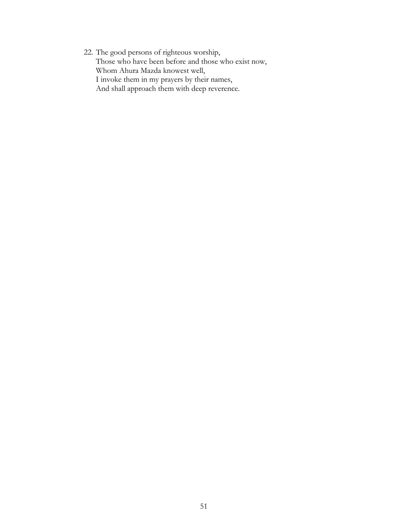22. The good persons of righteous worship, Those who have been before and those who exist now, Whom Ahura Mazda knowest well, I invoke them in my prayers by their names, And shall approach them with deep reverence.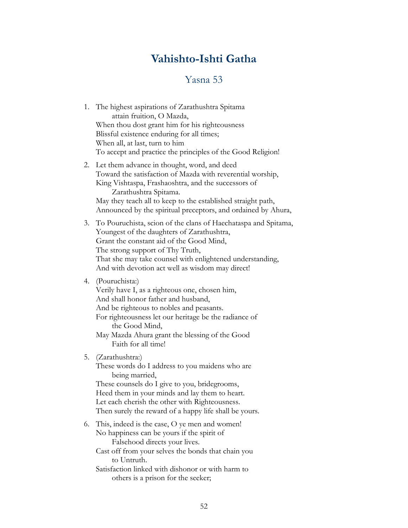# **Vahishto-Ishti Gatha**

## Yasna 53

<span id="page-53-0"></span>

|    | 1. The highest aspirations of Zarathushtra Spitama<br>attain fruition, O Mazda,<br>When thou dost grant him for his righteousness<br>Blissful existence enduring for all times;<br>When all, at last, turn to him<br>To accept and practice the principles of the Good Religion!                                              |
|----|-------------------------------------------------------------------------------------------------------------------------------------------------------------------------------------------------------------------------------------------------------------------------------------------------------------------------------|
|    | 2. Let them advance in thought, word, and deed<br>Toward the satisfaction of Mazda with reverential worship,<br>King Vishtaspa, Frashaoshtra, and the successors of<br>Zarathushtra Spitama.<br>May they teach all to keep to the established straight path,<br>Announced by the spiritual preceptors, and ordained by Ahura, |
| 3. | To Pouruchista, scion of the clans of Haechataspa and Spitama,<br>Youngest of the daughters of Zarathushtra,<br>Grant the constant aid of the Good Mind,<br>The strong support of Thy Truth,<br>That she may take counsel with enlightened understanding,<br>And with devotion act well as wisdom may direct!                 |
|    | 4. (Pouruchista:)<br>Verily have I, as a righteous one, chosen him,<br>And shall honor father and husband,<br>And be righteous to nobles and peasants.<br>For righteousness let our heritage be the radiance of<br>the Good Mind,<br>May Mazda Ahura grant the blessing of the Good<br>Faith for all time!                    |
|    | 5. (Zarathushtra:)<br>These words do I address to you maidens who are<br>being married,<br>These counsels do I give to you, bridegrooms,<br>Heed them in your minds and lay them to heart.<br>Let each cherish the other with Righteousness.<br>Then surely the reward of a happy life shall be yours.                        |
| 6. | This, indeed is the case, O ye men and women!<br>No happiness can be yours if the spirit of<br>Falsehood directs your lives.<br>Cast off from your selves the bonds that chain you<br>to Untruth.<br>Satisfaction linked with dishonor or with harm to                                                                        |